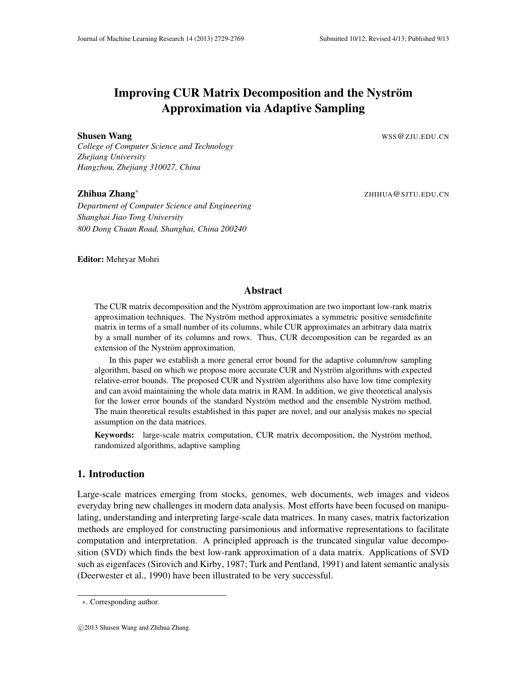# Improving CUR Matrix Decomposition and the Nyström Approximation via Adaptive Sampling

Shusen Wang Wang WSS @ ZJU.EDU.CN

*College of Computer Science and Technology Zhejiang University Hangzhou, Zhejiang 310027, China*

# Zhihua Zhang∗

*Department of Computer Science and Engineering Shanghai Jiao Tong University 800 Dong Chuan Road, Shanghai, China 200240*

ZHIHUA@SJTU.EDU.CN

Editor: Mehryar Mohri

# Abstract

The CUR matrix decomposition and the Nyström approximation are two important low-rank matrix approximation techniques. The Nyström method approximates a symmetric positive semidefinite matrix in terms of a small number of its columns, while CUR approximates an arbitrary data matrix by a small number of its columns and rows. Thus, CUR decomposition can be regarded as an extension of the Nyström approximation.

In this paper we establish a more general error bound for the adaptive column/row sampling algorithm, based on which we propose more accurate CUR and Nyström algorithms with expected relative-error bounds. The proposed CUR and Nyström algorithms also have low time complexity and can avoid maintaining the whole data matrix in RAM. In addition, we give theoretical analysis for the lower error bounds of the standard Nyström method and the ensemble Nyström method. The main theoretical results established in this paper are novel, and our analysis makes no special assumption on the data matrices.

Keywords: large-scale matrix computation, CUR matrix decomposition, the Nyström method, randomized algorithms, adaptive sampling

# 1. Introduction

Large-scale matrices emerging from stocks, genomes, web documents, web images and videos everyday bring new challenges in modern data analysis. Most efforts have been focused on manipulating, understanding and interpreting large-scale data matrices. In many cases, matrix factorization methods are employed for constructing parsimonious and informative representations to facilitate computation and interpretation. A principled approach is the truncated singular value decomposition (SVD) which finds the best low-rank approximation of a data matrix. Applications of SVD such as eigenfaces (Sirovich and Kirby, 1987; Turk and Pentland, 1991) and latent semantic analysis (Deerwester et al., 1990) have been illustrated to be very successful.

<sup>∗</sup>. Corresponding author.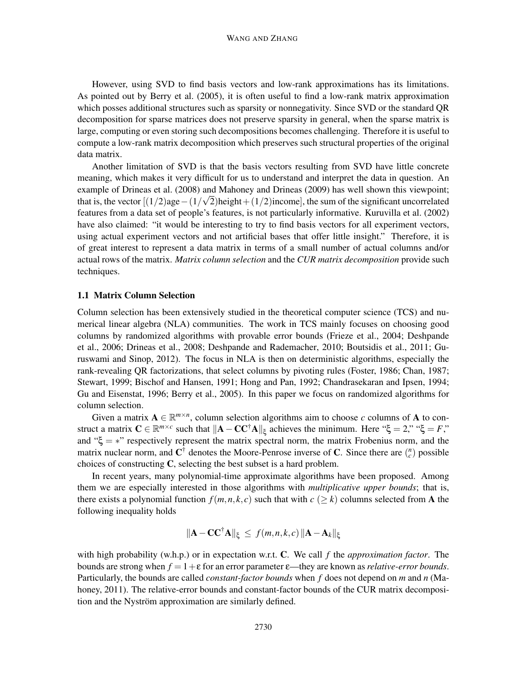However, using SVD to find basis vectors and low-rank approximations has its limitations. As pointed out by Berry et al. (2005), it is often useful to find a low-rank matrix approximation which posses additional structures such as sparsity or nonnegativity. Since SVD or the standard QR decomposition for sparse matrices does not preserve sparsity in general, when the sparse matrix is large, computing or even storing such decompositions becomes challenging. Therefore it is useful to compute a low-rank matrix decomposition which preserves such structural properties of the original data matrix.

Another limitation of SVD is that the basis vectors resulting from SVD have little concrete meaning, which makes it very difficult for us to understand and interpret the data in question. An example of Drineas et al. (2008) and Mahoney and Drineas (2009) has well shown this viewpoint; that is, the vector  $[(1/2)age-(1/\sqrt{2})height+(1/2)income]$ , the sum of the significant uncorrelated features from a data set of people's features, is not particularly informative. Kuruvilla et al. (2002) have also claimed: "it would be interesting to try to find basis vectors for all experiment vectors, using actual experiment vectors and not artificial bases that offer little insight." Therefore, it is of great interest to represent a data matrix in terms of a small number of actual columns and/or actual rows of the matrix. *Matrix column selection* and the *CUR matrix decomposition* provide such techniques.

# 1.1 Matrix Column Selection

Column selection has been extensively studied in the theoretical computer science (TCS) and numerical linear algebra (NLA) communities. The work in TCS mainly focuses on choosing good columns by randomized algorithms with provable error bounds (Frieze et al., 2004; Deshpande et al., 2006; Drineas et al., 2008; Deshpande and Rademacher, 2010; Boutsidis et al., 2011; Guruswami and Sinop, 2012). The focus in NLA is then on deterministic algorithms, especially the rank-revealing QR factorizations, that select columns by pivoting rules (Foster, 1986; Chan, 1987; Stewart, 1999; Bischof and Hansen, 1991; Hong and Pan, 1992; Chandrasekaran and Ipsen, 1994; Gu and Eisenstat, 1996; Berry et al., 2005). In this paper we focus on randomized algorithms for column selection.

Given a matrix  $A \in \mathbb{R}^{m \times n}$ , column selection algorithms aim to choose *c* columns of A to construct a matrix  $\mathbf{C} \in \mathbb{R}^{m \times c}$  such that  $\|\mathbf{A} - \mathbf{C} \mathbf{C}^{\dagger} \mathbf{A}\|_{\xi}$  achieves the minimum. Here " $\xi = 2$ ," " $\xi = F$ ," and " $\xi = \ast$ " respectively represent the matrix spectral norm, the matrix Frobenius norm, and the matrix nuclear norm, and  $\mathbf{C}^{\dagger}$  denotes the Moore-Penrose inverse of C. Since there are  $\binom{n}{c}$  possible choices of constructing C, selecting the best subset is a hard problem.

In recent years, many polynomial-time approximate algorithms have been proposed. Among them we are especially interested in those algorithms with *multiplicative upper bounds*; that is, there exists a polynomial function  $f(m, n, k, c)$  such that with  $c \geq k$ ) columns selected from A the following inequality holds

$$
\|\mathbf{A} - \mathbf{C} \mathbf{C}^{\dagger} \mathbf{A}\|_{\xi} \leq f(m, n, k, c) \|\mathbf{A} - \mathbf{A}_k\|_{\xi}
$$

with high probability (w.h.p.) or in expectation w.r.t. C. We call *f* the *approximation factor*. The bounds are strong when  $f = 1 + \varepsilon$  for an error parameter  $\varepsilon$ —they are known as *relative-error bounds*. Particularly, the bounds are called *constant-factor bounds* when *f* does not depend on *m* and *n* (Mahoney, 2011). The relative-error bounds and constant-factor bounds of the CUR matrix decomposition and the Nyström approximation are similarly defined.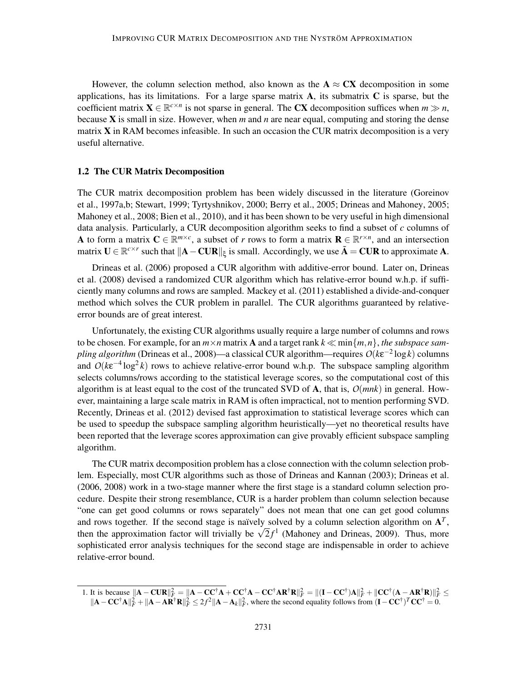However, the column selection method, also known as the  $A \approx CX$  decomposition in some applications, has its limitations. For a large sparse matrix  $\bf{A}$ , its submatrix  $\bf{C}$  is sparse, but the coefficient matrix  $X \in \mathbb{R}^{c \times n}$  is not sparse in general. The CX decomposition suffices when  $m \gg n$ , because X is small in size. However, when *m* and *n* are near equal, computing and storing the dense matrix  $X$  in RAM becomes infeasible. In such an occasion the CUR matrix decomposition is a very useful alternative.

### 1.2 The CUR Matrix Decomposition

The CUR matrix decomposition problem has been widely discussed in the literature (Goreinov et al., 1997a,b; Stewart, 1999; Tyrtyshnikov, 2000; Berry et al., 2005; Drineas and Mahoney, 2005; Mahoney et al., 2008; Bien et al., 2010), and it has been shown to be very useful in high dimensional data analysis. Particularly, a CUR decomposition algorithm seeks to find a subset of *c* columns of A to form a matrix  $C \in \mathbb{R}^{m \times c}$ , a subset of *r* rows to form a matrix  $R \subseteq \mathbb{R}^{r \times n}$ , and an intersection matrix  $\mathbf{U} \in \mathbb{R}^{c \times r}$  such that  $\|\mathbf{A} - \mathbf{C} \mathbf{U} \mathbf{R}\|_{\xi}$  is small. Accordingly, we use  $\tilde{\mathbf{A}} = \mathbf{C} \mathbf{U} \mathbf{R}$  to approximate A.

Drineas et al. (2006) proposed a CUR algorithm with additive-error bound. Later on, Drineas et al. (2008) devised a randomized CUR algorithm which has relative-error bound w.h.p. if sufficiently many columns and rows are sampled. Mackey et al. (2011) established a divide-and-conquer method which solves the CUR problem in parallel. The CUR algorithms guaranteed by relativeerror bounds are of great interest.

Unfortunately, the existing CUR algorithms usually require a large number of columns and rows to be chosen. For example, for an  $m \times n$  matrix **A** and a target rank  $k \ll \min\{m, n\}$ , the subspace sam*pling algorithm* (Drineas et al., 2008)—a classical CUR algorithm—requires *O*(*k*ε −2 log*k*) columns and  $O(k\varepsilon^{-4} \log^2 k)$  rows to achieve relative-error bound w.h.p. The subspace sampling algorithm selects columns/rows according to the statistical leverage scores, so the computational cost of this algorithm is at least equal to the cost of the truncated SVD of  $\bf{A}$ , that is,  $O(mnk)$  in general. However, maintaining a large scale matrix in RAM is often impractical, not to mention performing SVD. Recently, Drineas et al. (2012) devised fast approximation to statistical leverage scores which can be used to speedup the subspace sampling algorithm heuristically—yet no theoretical results have been reported that the leverage scores approximation can give provably efficient subspace sampling algorithm.

The CUR matrix decomposition problem has a close connection with the column selection problem. Especially, most CUR algorithms such as those of Drineas and Kannan (2003); Drineas et al. (2006, 2008) work in a two-stage manner where the first stage is a standard column selection procedure. Despite their strong resemblance, CUR is a harder problem than column selection because "one can get good columns or rows separately" does not mean that one can get good columns and rows together. If the second stage is naïvely solved by a column selection algorithm on  $A<sup>T</sup>$ , then the approximation factor will trivially be  $\sqrt{2}f^1$  (Mahoney and Drineas, 2009). Thus, more sophisticated error analysis techniques for the second stage are indispensable in order to achieve relative-error bound.

<sup>1.</sup> It is because  $\|\mathbf{A} - \mathbf{C}\mathbf{U}\mathbf{R}\|_F^2 = \|\mathbf{A} - \mathbf{C}\mathbf{C}^\dagger\mathbf{A} + \mathbf{C}\mathbf{C}^\dagger\mathbf{A} - \mathbf{C}\mathbf{C}^\dagger\mathbf{A}\mathbf{R}^\dagger\mathbf{R}\|_F^2 = \|(\mathbf{I} - \mathbf{C}\mathbf{C}^\dagger)\mathbf{A}\|_F^2 + \|\mathbf{C}\mathbf{C}^\dagger(\mathbf{A} - \mathbf{A}\mathbf{R}^\dagger\mathbf{R})\|_F^2 \$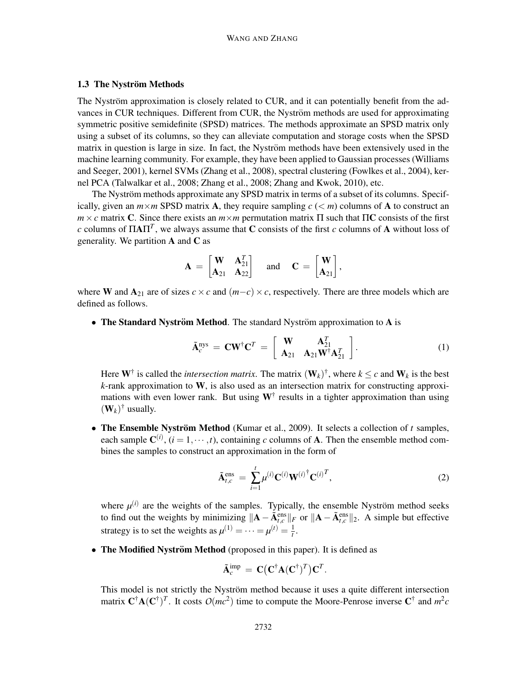#### 1.3 The Nyström Methods

The Nyström approximation is closely related to CUR, and it can potentially benefit from the advances in CUR techniques. Different from CUR, the Nyström methods are used for approximating symmetric positive semidefinite (SPSD) matrices. The methods approximate an SPSD matrix only using a subset of its columns, so they can alleviate computation and storage costs when the SPSD matrix in question is large in size. In fact, the Nyström methods have been extensively used in the machine learning community. For example, they have been applied to Gaussian processes (Williams and Seeger, 2001), kernel SVMs (Zhang et al., 2008), spectral clustering (Fowlkes et al., 2004), kernel PCA (Talwalkar et al., 2008; Zhang et al., 2008; Zhang and Kwok, 2010), etc.

The Nyström methods approximate any SPSD matrix in terms of a subset of its columns. Specifically, given an  $m \times m$  SPSD matrix A, they require sampling  $c \leq m$  columns of A to construct an  $m \times c$  matrix C. Since there exists an  $m \times m$  permutation matrix  $\Pi$  such that  $\Pi$ C consists of the first *c* columns of  $\Pi A \Pi^T$ , we always assume that **C** consists of the first *c* columns of **A** without loss of generality. We partition  $A$  and  $C$  as

$$
\mathbf{A} \,=\, \begin{bmatrix} \mathbf{W} & \mathbf{A}^T_{21} \\ \mathbf{A}_{21} & \mathbf{A}_{22} \end{bmatrix} \quad \text{ and } \quad \mathbf{C} \,=\, \begin{bmatrix} \mathbf{W} \\ \mathbf{A}_{21} \end{bmatrix},
$$

where W and  $A_{21}$  are of sizes  $c \times c$  and  $(m-c) \times c$ , respectively. There are three models which are defined as follows.

• The Standard Nyström Method. The standard Nyström approximation to A is

$$
\tilde{\mathbf{A}}_c^{\text{nys}} = \mathbf{C}\mathbf{W}^{\dagger}\mathbf{C}^T = \begin{bmatrix} \mathbf{W} & \mathbf{A}_{21}^T \\ \mathbf{A}_{21} & \mathbf{A}_{21} \mathbf{W}^{\dagger}\mathbf{A}_{21}^T \end{bmatrix}.
$$
 (1)

Here  $W^{\dagger}$  is called the *intersection matrix*. The matrix  $(W_k)^{\dagger}$ , where  $k \leq c$  and  $W_k$  is the best *k*-rank approximation to W, is also used as an intersection matrix for constructing approximations with even lower rank. But using  $W^{\dagger}$  results in a tighter approximation than using  $(\mathbf{W}_k)^{\dagger}$  usually.

• The Ensemble Nyström Method (Kumar et al., 2009). It selects a collection of *t* samples, each sample  $\mathbf{C}^{(i)}$ ,  $(i = 1, \dots, t)$ , containing *c* columns of **A**. Then the ensemble method combines the samples to construct an approximation in the form of

$$
\tilde{\mathbf{A}}_{t,c}^{\text{ens}} = \sum_{i=1}^{t} \mu^{(i)} \mathbf{C}^{(i)} \mathbf{W}^{(i)}^{\dagger} \mathbf{C}^{(i)^{T}}, \qquad (2)
$$

where  $\mu^{(i)}$  are the weights of the samples. Typically, the ensemble Nyström method seeks to find out the weights by minimizing  $\|\mathbf{A} - \tilde{\mathbf{A}}_{t,c}^{\text{ens}}\|_F$  or  $\|\mathbf{A} - \tilde{\mathbf{A}}_{t,c}^{\text{ens}}\|_2$ . A simple but effective strategy is to set the weights as  $\mu^{(1)} = \cdots = \mu^{(t)} = \frac{1}{t}$  $\frac{1}{t}$ .

• The Modified Nyström Method (proposed in this paper). It is defined as

$$
\tilde{\mathbf{A}}_c^{\text{imp}} = \mathbf{C} \big( \mathbf{C}^{\dagger} \mathbf{A} (\mathbf{C}^{\dagger})^T \big) \mathbf{C}^T.
$$

This model is not strictly the Nyström method because it uses a quite different intersection matrix  $\mathbf{C}^{\dagger} \mathbf{A} (\mathbf{C}^{\dagger})^T$ . It costs  $O(mc^2)$  time to compute the Moore-Penrose inverse  $\mathbf{C}^{\dagger}$  and  $m^2c$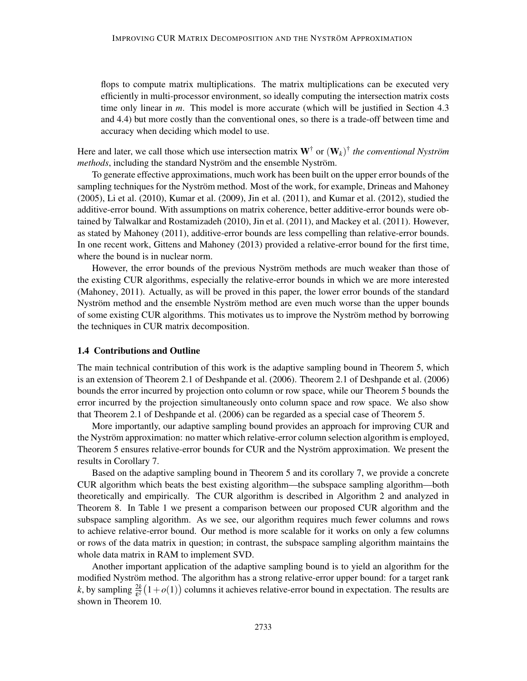flops to compute matrix multiplications. The matrix multiplications can be executed very efficiently in multi-processor environment, so ideally computing the intersection matrix costs time only linear in *m*. This model is more accurate (which will be justified in Section 4.3 and 4.4) but more costly than the conventional ones, so there is a trade-off between time and accuracy when deciding which model to use.

Here and later, we call those which use intersection matrix  $W^{\dagger}$  or  $(W_k)^{\dagger}$  *the conventional Nyström methods*, including the standard Nyström and the ensemble Nyström.

To generate effective approximations, much work has been built on the upper error bounds of the sampling techniques for the Nyström method. Most of the work, for example, Drineas and Mahoney (2005), Li et al. (2010), Kumar et al. (2009), Jin et al. (2011), and Kumar et al. (2012), studied the additive-error bound. With assumptions on matrix coherence, better additive-error bounds were obtained by Talwalkar and Rostamizadeh (2010), Jin et al. (2011), and Mackey et al. (2011). However, as stated by Mahoney (2011), additive-error bounds are less compelling than relative-error bounds. In one recent work, Gittens and Mahoney (2013) provided a relative-error bound for the first time, where the bound is in nuclear norm.

However, the error bounds of the previous Nyström methods are much weaker than those of the existing CUR algorithms, especially the relative-error bounds in which we are more interested (Mahoney, 2011). Actually, as will be proved in this paper, the lower error bounds of the standard Nyström method and the ensemble Nyström method are even much worse than the upper bounds of some existing CUR algorithms. This motivates us to improve the Nyström method by borrowing the techniques in CUR matrix decomposition.

#### 1.4 Contributions and Outline

The main technical contribution of this work is the adaptive sampling bound in Theorem 5, which is an extension of Theorem 2.1 of Deshpande et al. (2006). Theorem 2.1 of Deshpande et al. (2006) bounds the error incurred by projection onto column or row space, while our Theorem 5 bounds the error incurred by the projection simultaneously onto column space and row space. We also show that Theorem 2.1 of Deshpande et al. (2006) can be regarded as a special case of Theorem 5.

More importantly, our adaptive sampling bound provides an approach for improving CUR and the Nyström approximation: no matter which relative-error column selection algorithm is employed, Theorem 5 ensures relative-error bounds for CUR and the Nyström approximation. We present the results in Corollary 7.

Based on the adaptive sampling bound in Theorem 5 and its corollary 7, we provide a concrete CUR algorithm which beats the best existing algorithm—the subspace sampling algorithm—both theoretically and empirically. The CUR algorithm is described in Algorithm 2 and analyzed in Theorem 8. In Table 1 we present a comparison between our proposed CUR algorithm and the subspace sampling algorithm. As we see, our algorithm requires much fewer columns and rows to achieve relative-error bound. Our method is more scalable for it works on only a few columns or rows of the data matrix in question; in contrast, the subspace sampling algorithm maintains the whole data matrix in RAM to implement SVD.

Another important application of the adaptive sampling bound is to yield an algorithm for the modified Nyström method. The algorithm has a strong relative-error upper bound: for a target rank *k*, by sampling  $\frac{2k}{\epsilon^2}(1+o(1))$  columns it achieves relative-error bound in expectation. The results are shown in Theorem 10.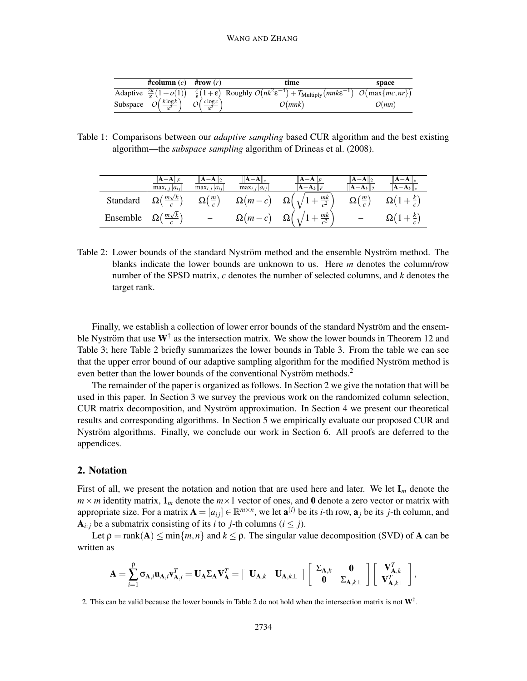| #column $(c)$ #row $(r)$                             |                                      | time                                                                                                                                              | space |
|------------------------------------------------------|--------------------------------------|---------------------------------------------------------------------------------------------------------------------------------------------------|-------|
|                                                      |                                      | Adaptive $\frac{2k}{s}(1+o(1))$ $\frac{c}{s}(1+\epsilon)$ Roughly $O(nk^2\epsilon^{-4})+T_{\text{Multiply}}(mnk\epsilon^{-1})$ $O(max\{mc, nr\})$ |       |
| Subspace $O\left(\frac{k \log k}{\epsilon^2}\right)$ | $O\left(\frac{c \log c}{c^2}\right)$ | O(mnk)                                                                                                                                            | O(mn) |

Table 1: Comparisons between our *adaptive sampling* based CUR algorithm and the best existing algorithm—the *subspace sampling* algorithm of Drineas et al. (2008).

|          | $\max_{i, j}  a_{ij} $                                    | $  \mathbf{A}-\mathbf{A}  _2$<br>$\max_{i, j}  a_{ij} $ | $\ \mathbf{A}-\mathbf{A}\ _{*}$<br>$\max_{i}$ $ a_{ij} $ | $  \mathbf{A}-\mathbf{A}  _F$<br>$\ \mathbf{A}-\!\mathbf{A}_k\ _F$ | $  A-A  _2$<br>$\ \mathbf{A}-\mathbf{A}_k\ _2$ | $\ \mathbf{A}-\!\mathbf{A}_k\ _*$ |
|----------|-----------------------------------------------------------|---------------------------------------------------------|----------------------------------------------------------|--------------------------------------------------------------------|------------------------------------------------|-----------------------------------|
| Standard | $\left  \ \Omega\left(\frac{m\sqrt{k}}{c}\right) \right $ | $\Omega(\frac{m}{c})$                                   |                                                          | $\Omega(m-c) \quad \Omega\left(\sqrt{1+\frac{mk}{c^2}}\right)$     | $\Omega(\frac{m}{c})$                          | $\Omega(1+\frac{k}{c})$           |
| Ensemble | $\left( \frac{m\sqrt{k}}{2} \right)$                      |                                                         |                                                          | $\Omega(m-c)$ $\Omega\left(\sqrt{1+\frac{mk}{c^2}}\right)$         |                                                | $\Omega(1+\frac{k}{c})$           |

Table 2: Lower bounds of the standard Nyström method and the ensemble Nyström method. The blanks indicate the lower bounds are unknown to us. Here *m* denotes the column/row number of the SPSD matrix, *c* denotes the number of selected columns, and *k* denotes the target rank.

Finally, we establish a collection of lower error bounds of the standard Nyström and the ensemble Nyström that use  $W^{\dagger}$  as the intersection matrix. We show the lower bounds in Theorem 12 and Table 3; here Table 2 briefly summarizes the lower bounds in Table 3. From the table we can see that the upper error bound of our adaptive sampling algorithm for the modified Nyström method is even better than the lower bounds of the conventional Nyström methods. $2$ 

The remainder of the paper is organized as follows. In Section 2 we give the notation that will be used in this paper. In Section 3 we survey the previous work on the randomized column selection, CUR matrix decomposition, and Nyström approximation. In Section 4 we present our theoretical results and corresponding algorithms. In Section 5 we empirically evaluate our proposed CUR and Nyström algorithms. Finally, we conclude our work in Section 6. All proofs are deferred to the appendices.

#### 2. Notation

First of all, we present the notation and notion that are used here and later. We let  $I_m$  denote the  $m \times m$  identity matrix,  $\mathbf{1}_m$  denote the  $m \times 1$  vector of ones, and 0 denote a zero vector or matrix with appropriate size. For a matrix  $\mathbf{A} = [a_{ij}] \in \mathbb{R}^{m \times n}$ , we let  $\mathbf{a}^{(i)}$  be its *i*-th row,  $\mathbf{a}_j$  be its *j*-th column, and  $A_{i:j}$  be a submatrix consisting of its *i* to *j*-th columns ( $i \leq j$ ).

Let  $\rho = \text{rank}(A) \le \min\{m, n\}$  and  $k \le \rho$ . The singular value decomposition (SVD) of A can be written as

$$
\mathbf{A} = \sum_{i=1}^{\rho} \sigma_{\mathbf{A},i} \mathbf{u}_{\mathbf{A},i} \mathbf{v}_{\mathbf{A},i}^T = \mathbf{U}_{\mathbf{A}} \Sigma_{\mathbf{A}} \mathbf{V}_{\mathbf{A}}^T = \begin{bmatrix} \mathbf{U}_{\mathbf{A},k} & \mathbf{U}_{\mathbf{A},k\perp} \end{bmatrix} \begin{bmatrix} \Sigma_{\mathbf{A},k} & \mathbf{0} \\ \mathbf{0} & \Sigma_{\mathbf{A},k\perp} \end{bmatrix} \begin{bmatrix} \mathbf{V}_{\mathbf{A},k}^T \\ \mathbf{V}_{\mathbf{A},k\perp}^T \end{bmatrix},
$$

<sup>2.</sup> This can be valid because the lower bounds in Table 2 do not hold when the intersection matrix is not  $W^{\dagger}$ .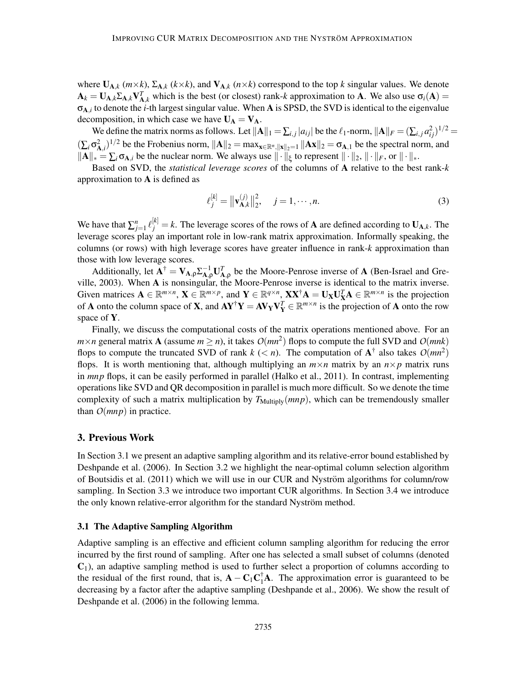where  $U_{A,k}$  ( $m \times k$ ),  $\Sigma_{A,k}$  ( $k \times k$ ), and  $V_{A,k}$  ( $n \times k$ ) correspond to the top  $k$  singular values. We denote  $A_k = U_{A,k} \Sigma_{A,k} V_{A,k}^T$  which is the best (or closest) rank-*k* approximation to A. We also use  $\sigma_i(A) =$ σA,*<sup>i</sup>* to denote the *i*-th largest singular value. When A is SPSD, the SVD is identical to the eigenvalue decomposition, in which case we have  $U_A = V_A$ .

We define the matrix norms as follows. Let  $||A||_1 = \sum_{i,j} |a_{ij}|$  be the  $\ell_1$ -norm,  $||A||_F = (\sum_{i,j} a_{ij}^2)^{1/2}$  $(\sum_i \sigma_{A,i}^2)^{1/2}$  be the Frobenius norm,  $||A||_2 = \max_{x \in \mathbb{R}^n, ||x||_2 = 1} ||Ax||_2 = \sigma_{A,1}$  be the spectral norm, and  $||A||_* = \sum_i \sigma_{A,i}$  be the nuclear norm. We always use  $|| \cdot ||_{\xi}$  to represent  $|| \cdot ||_2$ ,  $|| \cdot ||_F$ , or  $|| \cdot ||_*$ .

Based on SVD, the *statistical leverage scores* of the columns of A relative to the best rank-*k* approximation to A is defined as

$$
\ell_j^{[k]} = \|\mathbf{v}_{\mathbf{A},k}^{(j)}\|_2^2, \quad j = 1, \cdots, n. \tag{3}
$$

We have that  $\sum_{j=1}^n \ell_j^{[k]} = k$ . The leverage scores of the rows of **A** are defined according to  $U_{A,k}$ . The leverage scores play an important role in low-rank matrix approximation. Informally speaking, the columns (or rows) with high leverage scores have greater influence in rank-*k* approximation than those with low leverage scores.

Additionally, let  $A^{\dagger} = V_{A,\rho} \Sigma_{A,\rho}^{-1} U_{A,\rho}^{T}$  be the Moore-Penrose inverse of A (Ben-Israel and Greville, 2003). When A is nonsingular, the Moore-Penrose inverse is identical to the matrix inverse. Given matrices  $A \in \mathbb{R}^{m \times n}$ ,  $X \in \mathbb{R}^{m \times p}$ , and  $Y \in \mathbb{R}^{q \times n}$ ,  $XX^{\dagger}A = U_XU_X^T A \in \mathbb{R}^{m \times n}$  is the projection of **A** onto the column space of **X**, and  $AY^{\dagger}Y = AV_YV_Y^T \in \mathbb{R}^{m \times n}$  is the projection of **A** onto the row space of Y.

Finally, we discuss the computational costs of the matrix operations mentioned above. For an  $m \times n$  general matrix **A** (assume  $m \ge n$ ), it takes  $O(mn^2)$  flops to compute the full SVD and  $O(mnk)$ flops to compute the truncated SVD of rank  $k$  (< *n*). The computation of  $A^{\dagger}$  also takes  $O(mn^2)$ flops. It is worth mentioning that, although multiplying an  $m \times n$  matrix by an  $n \times p$  matrix runs in *mnp* flops, it can be easily performed in parallel (Halko et al., 2011). In contrast, implementing operations like SVD and QR decomposition in parallel is much more difficult. So we denote the time complexity of such a matrix multiplication by  $T_{\text{Multiply}}(mnp)$ , which can be tremendously smaller than  $O(mnp)$  in practice.

### 3. Previous Work

In Section 3.1 we present an adaptive sampling algorithm and its relative-error bound established by Deshpande et al. (2006). In Section 3.2 we highlight the near-optimal column selection algorithm of Boutsidis et al. (2011) which we will use in our CUR and Nyström algorithms for column/row sampling. In Section 3.3 we introduce two important CUR algorithms. In Section 3.4 we introduce the only known relative-error algorithm for the standard Nyström method.

#### 3.1 The Adaptive Sampling Algorithm

Adaptive sampling is an effective and efficient column sampling algorithm for reducing the error incurred by the first round of sampling. After one has selected a small subset of columns (denoted  $C_1$ ), an adaptive sampling method is used to further select a proportion of columns according to the residual of the first round, that is,  $\mathbf{A} - \mathbf{C}_1 \mathbf{C}_1^{\dagger} \mathbf{A}$ . The approximation error is guaranteed to be decreasing by a factor after the adaptive sampling (Deshpande et al., 2006). We show the result of Deshpande et al. (2006) in the following lemma.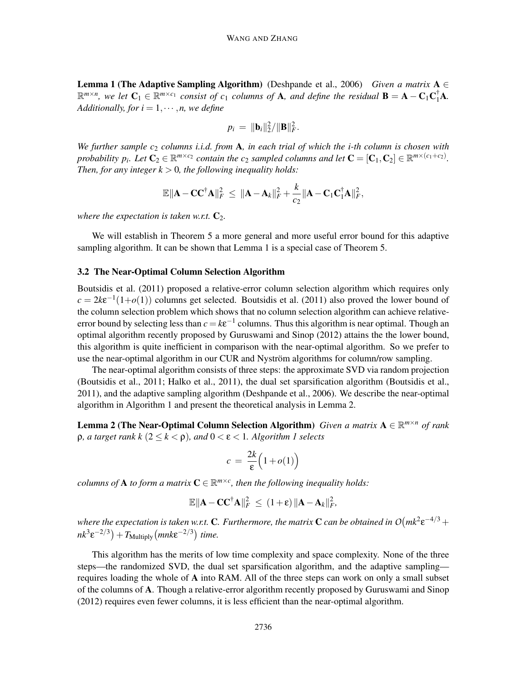**Lemma 1 (The Adaptive Sampling Algorithm)** (Deshpande et al., 2006) *Given a matrix*  $A \in$  $\mathbb{R}^{m \times n}$ , we let  $C_1 \in \mathbb{R}^{m \times c_1}$  consist of  $c_1$  columns of **A**, and define the residual  $B = A - C_1 C_1^{\dagger} A$ . *Additionally, for*  $i = 1, \dots, n$ *, we define* 

$$
p_i = \|\mathbf{b}_i\|_2^2 / \|\mathbf{B}\|_F^2.
$$

*We further sample c*<sup>2</sup> *columns i.i.d. from* A*, in each trial of which the i-th column is chosen with probability p<sub>i</sub></sub>. Let*  $C_2 \in \mathbb{R}^{m \times c_2}$  *contain the c*<sub>2</sub> *sampled columns and let*  $C = [C_1, C_2] \in \mathbb{R}^{m \times (c_1+c_2)}$ . *Then, for any integer k* > 0*, the following inequality holds:*

$$
\mathbb{E} \|\mathbf{A} - \mathbf{C} \mathbf{C}^{\dagger} \mathbf{A} \|_{F}^{2} \leq \|\mathbf{A} - \mathbf{A}_{k} \|_{F}^{2} + \frac{k}{c_{2}} \|\mathbf{A} - \mathbf{C}_{1} \mathbf{C}_{1}^{\dagger} \mathbf{A} \|_{F}^{2},
$$

*where the expectation is taken w.r.t.*  $C_2$ *.* 

We will establish in Theorem 5 a more general and more useful error bound for this adaptive sampling algorithm. It can be shown that Lemma 1 is a special case of Theorem 5.

#### 3.2 The Near-Optimal Column Selection Algorithm

Boutsidis et al. (2011) proposed a relative-error column selection algorithm which requires only  $c = 2k\varepsilon^{-1}(1+o(1))$  columns get selected. Boutsidis et al. (2011) also proved the lower bound of the column selection problem which shows that no column selection algorithm can achieve relativeerror bound by selecting less than  $c = k\varepsilon^{-1}$  columns. Thus this algorithm is near optimal. Though an optimal algorithm recently proposed by Guruswami and Sinop (2012) attains the the lower bound, this algorithm is quite inefficient in comparison with the near-optimal algorithm. So we prefer to use the near-optimal algorithm in our CUR and Nyström algorithms for column/row sampling.

The near-optimal algorithm consists of three steps: the approximate SVD via random projection (Boutsidis et al., 2011; Halko et al., 2011), the dual set sparsification algorithm (Boutsidis et al., 2011), and the adaptive sampling algorithm (Deshpande et al., 2006). We describe the near-optimal algorithm in Algorithm 1 and present the theoretical analysis in Lemma 2.

Lemma 2 (The Near-Optimal Column Selection Algorithm) *Given a matrix* <sup>A</sup> <sup>∈</sup> <sup>R</sup> *<sup>m</sup>*×*<sup>n</sup> of rank* ρ*, a target rank k* (2 ≤ *k* < ρ)*, and* 0 < ε < 1*. Algorithm 1 selects*

$$
c = \frac{2k}{\epsilon} \Big( 1 + o(1) \Big)
$$

*columns of* **A** *to form a matrix*  $\mathbf{C} \in \mathbb{R}^{m \times c}$ , *then the following inequality holds:* 

$$
\mathbb{E} \|\mathbf{A} - \mathbf{C} \mathbf{C}^{\dagger} \mathbf{A} \|_F^2 \leq (1+\varepsilon) \|\mathbf{A} - \mathbf{A}_k \|_F^2,
$$

where the expectation is taken w.r.t.  ${\bf C}.$  Furthermore, the matrix  ${\bf C}$  can be obtained in  $O(mk^2 \varepsilon^{-4/3}+1)$  $nk^3 \varepsilon^{-2/3}$   $+ T_{\text{Multiply}}$   $(mnk\varepsilon^{-2/3})$  *time.* 

This algorithm has the merits of low time complexity and space complexity. None of the three steps—the randomized SVD, the dual set sparsification algorithm, and the adaptive sampling requires loading the whole of A into RAM. All of the three steps can work on only a small subset of the columns of A. Though a relative-error algorithm recently proposed by Guruswami and Sinop (2012) requires even fewer columns, it is less efficient than the near-optimal algorithm.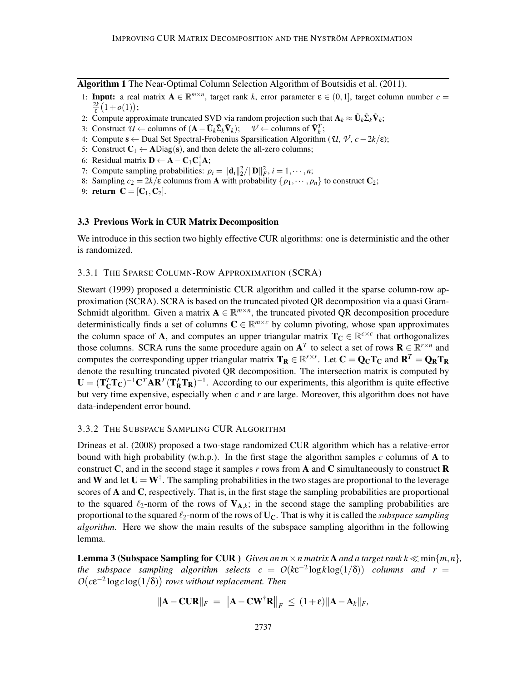Algorithm 1 The Near-Optimal Column Selection Algorithm of Boutsidis et al. (2011).

- 1: **Input:** a real matrix  $A \in \mathbb{R}^{m \times n}$ , target rank *k*, error parameter  $\varepsilon \in (0,1]$ , target column number  $c =$  $\frac{2k}{\varepsilon}(1+o(1));$
- 2: Compute approximate truncated SVD via random projection such that  $\mathbf{A}_k \approx \tilde{\mathbf{U}}_k \tilde{\Sigma}_k \tilde{\mathbf{V}}_k$ ;
- 3: Construct  $\mathcal{U} \leftarrow$  columns of  $(\mathbf{A} \tilde{\mathbf{U}}_k \tilde{\mathbf{\Sigma}}_k \tilde{\mathbf{V}}_k); \quad \mathcal{V} \leftarrow$  columns of  $\tilde{\mathbf{V}}_k^T$ ;
- 4: Compute <sup>s</sup> <sup>←</sup> Dual Set Spectral-Frobenius Sparsification Algorithm (*U*, *<sup>V</sup>* , *<sup>c</sup>*−2*k*/ε);
- 5: Construct  $C_1 \leftarrow \text{ADiag}(s)$ , and then delete the all-zero columns;
- 6: Residual matrix  $\mathbf{D} \leftarrow \mathbf{A} \mathbf{C}_1 \mathbf{C}_1^{\dagger} \mathbf{A}$ ;
- 7: Compute sampling probabilities:  $p_i = ||\mathbf{d}_i||_2^2 / ||\mathbf{D}||_F^2$ ,  $i = 1, \dots, n$ ;
- 8: Sampling  $c_2 = 2k/\varepsilon$  columns from **A** with probability  $\{p_1, \dots, p_n\}$  to construct  $C_2$ ;
- 9: **return**  $C = [C_1, C_2]$ .

#### 3.3 Previous Work in CUR Matrix Decomposition

We introduce in this section two highly effective CUR algorithms: one is deterministic and the other is randomized.

#### 3.3.1 THE SPARSE COLUMN-ROW APPROXIMATION (SCRA)

Stewart (1999) proposed a deterministic CUR algorithm and called it the sparse column-row approximation (SCRA). SCRA is based on the truncated pivoted QR decomposition via a quasi Gram-Schmidt algorithm. Given a matrix  $A \in \mathbb{R}^{m \times n}$ , the truncated pivoted QR decomposition procedure deterministically finds a set of columns  $C \in \mathbb{R}^{m \times c}$  by column pivoting, whose span approximates the column space of **A**, and computes an upper triangular matrix  $T_c \in \mathbb{R}^{c \times c}$  that orthogonalizes those columns. SCRA runs the same procedure again on  $A<sup>T</sup>$  to select a set of rows  $R \in \mathbb{R}^{r \times n}$  and computes the corresponding upper triangular matrix  $T_R \in \mathbb{R}^{r \times r}$ . Let  $C = Q_C T_C$  and  $R^T = Q_R T_R$ denote the resulting truncated pivoted QR decomposition. The intersection matrix is computed by  $\mathbf{U} = (\mathbf{T}_{\mathbf{C}}^T \mathbf{T}_{\mathbf{C}})^{-1} \mathbf{C}^T \mathbf{A} \mathbf{R}^T (\mathbf{T}_{\mathbf{R}}^T \mathbf{T}_{\mathbf{R}})^{-1}$ . According to our experiments, this algorithm is quite effective but very time expensive, especially when *c* and *r* are large. Moreover, this algorithm does not have data-independent error bound.

#### 3.3.2 THE SUBSPACE SAMPLING CUR ALGORITHM

Drineas et al. (2008) proposed a two-stage randomized CUR algorithm which has a relative-error bound with high probability (w.h.p.). In the first stage the algorithm samples  $c$  columns of  $\bf{A}$  to construct C, and in the second stage it samples  $r$  rows from A and C simultaneously to construct R and W and let  $U = W^{\dagger}$ . The sampling probabilities in the two stages are proportional to the leverage scores of A and C, respectively. That is, in the first stage the sampling probabilities are proportional to the squared  $\ell_2$ -norm of the rows of  $V_{A,k}$ ; in the second stage the sampling probabilities are proportional to the squared ℓ2-norm of the rows of UC. That is why it is called the *subspace sampling algorithm*. Here we show the main results of the subspace sampling algorithm in the following lemma.

**Lemma 3 (Subspace Sampling for CUR)** *Given an m*  $\times$  *n matrix* **A** *and a target rank*  $k \ll \min\{m, n\}$ *, the subspace sampling algorithm selects*  $c = O(k\epsilon^{-2} \log k \log(1/\delta))$  *columns and r* =  $O(c\epsilon^{-2}\log c\log(1/\delta))$  rows without replacement. Then

$$
\|\mathbf{A} - \mathbf{C}\mathbf{U}\mathbf{R}\|_F = \left\|\mathbf{A} - \mathbf{C}\mathbf{W}^{\dagger}\mathbf{R}\right\|_F \leq (1+\varepsilon)\|\mathbf{A} - \mathbf{A}_k\|_F,
$$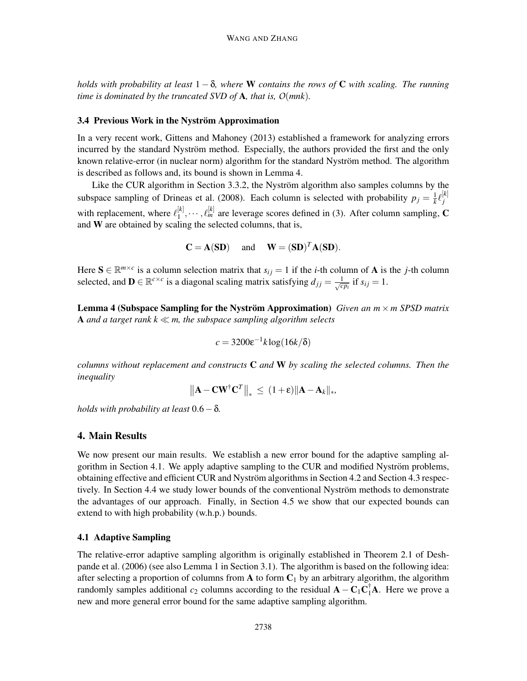*holds with probability at least* 1 − δ*, where* W *contains the rows of* C *with scaling. The running time is dominated by the truncated SVD of* A*, that is, O*(*mnk*)*.*

#### 3.4 Previous Work in the Nyström Approximation

In a very recent work, Gittens and Mahoney (2013) established a framework for analyzing errors incurred by the standard Nyström method. Especially, the authors provided the first and the only known relative-error (in nuclear norm) algorithm for the standard Nyström method. The algorithm is described as follows and, its bound is shown in Lemma 4.

Like the CUR algorithm in Section 3.3.2, the Nyström algorithm also samples columns by the subspace sampling of Drineas et al. (2008). Each column is selected with probability  $p_j = \frac{1}{k}$  $\frac{1}{k}\ell_{j}^{[k]}$ *j* with replacement, where  $\ell_1^{[k]}$  $\begin{bmatrix} [k] \ 1 \end{bmatrix}$ ,  $\cdots$ ,  $\ell_m^{[k]}$  are leverage scores defined in (3). After column sampling, **C** and W are obtained by scaling the selected columns, that is,

$$
C = A(SD) \quad \text{and} \quad W = (SD)^T A(SD).
$$

Here  $S \in \mathbb{R}^{m \times c}$  is a column selection matrix that  $s_{ij} = 1$  if the *i*-th column of **A** is the *j*-th column selected, and  $\mathbf{D} \in \mathbb{R}^{c \times c}$  is a diagonal scaling matrix satisfying  $d_{jj} = \frac{1}{\sqrt{c}}$  $\frac{1}{c p_i}$  if  $s_{ij} = 1$ .

**Lemma 4 (Subspace Sampling for the Nyström Approximation)** Given an  $m \times m$  SPSD matrix A *and a target rank k* ≪ *m, the subspace sampling algorithm selects*

$$
c = 3200 \varepsilon^{-1} k \log(16k/\delta)
$$

*columns without replacement and constructs* C *and* W *by scaling the selected columns. Then the inequality*

$$
\left\|\mathbf{A} - \mathbf{C} \mathbf{W}^{\dagger} \mathbf{C}^T\right\|_* \leq (1+\varepsilon) \|\mathbf{A} - \mathbf{A}_k\|_*,
$$

*holds with probability at least* 0.6−δ*.*

#### 4. Main Results

We now present our main results. We establish a new error bound for the adaptive sampling algorithm in Section 4.1. We apply adaptive sampling to the CUR and modified Nyström problems, obtaining effective and efficient CUR and Nyström algorithms in Section 4.2 and Section 4.3 respectively. In Section 4.4 we study lower bounds of the conventional Nyström methods to demonstrate the advantages of our approach. Finally, in Section 4.5 we show that our expected bounds can extend to with high probability (w.h.p.) bounds.

#### 4.1 Adaptive Sampling

The relative-error adaptive sampling algorithm is originally established in Theorem 2.1 of Deshpande et al. (2006) (see also Lemma 1 in Section 3.1). The algorithm is based on the following idea: after selecting a proportion of columns from  $A$  to form  $C_1$  by an arbitrary algorithm, the algorithm randomly samples additional  $c_2$  columns according to the residual  $\mathbf{A} - \mathbf{C}_1 \mathbf{C}_1^{\dagger} \mathbf{A}$ . Here we prove a new and more general error bound for the same adaptive sampling algorithm.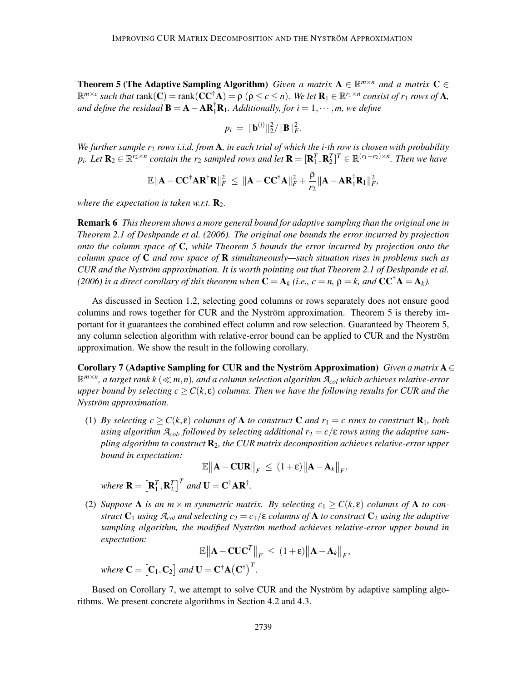**Theorem 5 (The Adaptive Sampling Algorithm)** *Given a matrix*  $A \in \mathbb{R}^{m \times n}$  *and a matrix*  $C \in$  $\mathbb{R}^{m \times c}$  such that  $\text{rank}(\mathbf{C}) = \text{rank}(\mathbf{C}\mathbf{C}^{\dagger}\mathbf{A}) = \rho$  ( $\rho \leq c \leq n$ ). We let  $\mathbf{R}_1 \in \mathbb{R}^{r_1 \times n}$  consist of  $r_1$  rows of  $\mathbf{A}$ , and define the residual  $\mathbf{B} = \mathbf{A} - \mathbf{A} \mathbf{R}_1^{\dagger} \mathbf{R}_1$ . Additionally, for  $i = 1, \dots, m$ , we define

$$
p_i = \|\mathbf{b}^{(i)}\|_2^2 / \|\mathbf{B}\|_F^2.
$$

*We further sample r*<sup>2</sup> *rows i.i.d. from* A*, in each trial of which the i-th row is chosen with probability*  $p_i$ *. Let*  $\mathbf{R}_2 \in \mathbb{R}^{r_2 \times n}$  contain the  $r_2$  sampled rows and let  $\mathbf{R} = [\mathbf{R}_1^T, \mathbf{R}_2^T]^T \in \mathbb{R}^{(r_1+r_2)\times n}$ *. Then we have* 

$$
\mathbb{E} \|\mathbf{A}-\mathbf{C}\mathbf{C}^{\dagger} \mathbf{A} \mathbf{R}^{\dagger} \mathbf{R}\|_F^2 \ \leq \ \|\mathbf{A}-\mathbf{C}\mathbf{C}^{\dagger} \mathbf{A}\|_F^2 + \frac{\rho}{r_2} \|\mathbf{A} - \mathbf{A} \mathbf{R}_1^{\dagger} \mathbf{R}_1\|_F^2,
$$

*where the expectation is taken w.r.t.*  $\mathbf{R}_2$ *.* 

Remark 6 *This theorem shows a more general bound for adaptive sampling than the original one in Theorem 2.1 of Deshpande et al. (2006). The original one bounds the error incurred by projection onto the column space of* C*, while Theorem 5 bounds the error incurred by projection onto the column space of* C *and row space of* R *simultaneously—such situation rises in problems such as CUR and the Nyström approximation. It is worth pointing out that Theorem 2.1 of Deshpande et al. (2006) is a direct corollary of this theorem when*  $\mathbf{C} = \mathbf{A}_k$  *(i.e., c = n,*  $\rho = k$ *, and*  $\mathbf{C}\mathbf{C}^{\dagger}\mathbf{A} = \mathbf{A}_k$ *).* 

As discussed in Section 1.2, selecting good columns or rows separately does not ensure good columns and rows together for CUR and the Nyström approximation. Theorem 5 is thereby important for it guarantees the combined effect column and row selection. Guaranteed by Theorem 5, any column selection algorithm with relative-error bound can be applied to CUR and the Nyström approximation. We show the result in the following corollary.

Corollary 7 (Adaptive Sampling for CUR and the Nyström Approximation) *Given a matrix*  $A \in$ R *m*×*n , a target rank k* (<sup>≪</sup> *<sup>m</sup>*,*n*)*, and a column selection algorithm <sup>A</sup>col which achieves relative-error upper bound by selecting*  $c \geq C(k, \varepsilon)$  *columns. Then we have the following results for CUR and the Nystrom approximation. ¨*

(1) *By selecting*  $c \geq C(k,\epsilon)$  *columns of* **A** *to construct* **C** *and*  $r_1 = c$  *rows to construct*  $\mathbf{R}_1$ *, both using algorithm*  $A_{col}$ *, followed by selecting additional*  $r_2 = c/\epsilon$  *rows using the adaptive sampling algorithm to construct* R2*, the CUR matrix decomposition achieves relative-error upper bound in expectation:*

$$
\mathbb{E}\|\mathbf{A} - \mathbf{C}\mathbf{U}\mathbf{R}\|_F \le (1+\varepsilon)\|\mathbf{A} - \mathbf{A}_k\|_F,
$$

*where*  $\mathbf{R} = \left[ \mathbf{R}^T_1, \mathbf{R}^T_2 \right]^T$  and  $\mathbf{U} = \mathbf{C}^\dagger \mathbf{A} \mathbf{R}^\dagger$ .

(2) *Suppose* **A** *is an m*  $\times$  *m symmetric matrix. By selecting c*<sub>1</sub>  $\geq C(k,\epsilon)$  *columns of* **A** *to construct*  $C_1$  *using*  $\mathcal{A}_{col}$  *and selecting*  $c_2 = c_1/\epsilon$  *columns of* A *to construct*  $C_2$  *using the adaptive sampling algorithm, the modified Nyström method achieves relative-error upper bound in expectation:*

 $\mathbb{E} \left\| \mathbf{A} - \mathbf{C} \mathbf{U} \mathbf{C}^T \right\|_F \ \leq \ (1 + \varepsilon) \left\| \mathbf{A} - \mathbf{A}_k \right\|_F,$ 

where  $\mathbf{C} = \begin{bmatrix} \mathbf{C}_1, \mathbf{C}_2 \end{bmatrix}$  and  $\mathbf{U} = \mathbf{C}^{\dagger} \mathbf{A} (\mathbf{C}^{\dagger})^T$ .

Based on Corollary 7, we attempt to solve CUR and the Nyström by adaptive sampling algorithms. We present concrete algorithms in Section 4.2 and 4.3.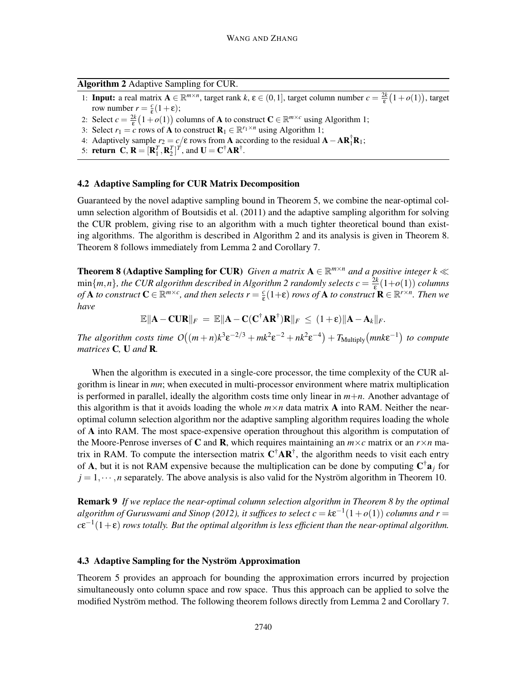Algorithm 2 Adaptive Sampling for CUR.

- 1: **Input:** a real matrix  $\mathbf{A} \in \mathbb{R}^{m \times n}$ , target rank  $k, \varepsilon \in (0, 1]$ , target column number  $c = \frac{2k}{\varepsilon} (1 + o(1))$ , target row number  $r = \frac{c}{\varepsilon}(1+\varepsilon);$
- 2: Select  $c = \frac{2k}{\epsilon} (1 + o(1))$  columns of **A** to construct  $C \in \mathbb{R}^{m \times c}$  using Algorithm 1;
- 3: Select  $r_1 = c$  rows of **A** to construct  $\mathbf{R}_1 \in \mathbb{R}^{r_1 \times n}$  using Algorithm 1;
- 4: Adaptively sample  $r_2 = c/\epsilon$  rows from **A** according to the residual  $\mathbf{A} \mathbf{A}\mathbf{R}_1^{\dagger}\mathbf{R}_1$ ;
- 5: **return** C,  $\mathbf{R} = [\mathbf{R}_1^T, \mathbf{R}_2^T]^T$ , and  $\mathbf{U} = \mathbf{C}^\dagger \mathbf{A} \mathbf{R}^\dagger$ .

# 4.2 Adaptive Sampling for CUR Matrix Decomposition

Guaranteed by the novel adaptive sampling bound in Theorem 5, we combine the near-optimal column selection algorithm of Boutsidis et al. (2011) and the adaptive sampling algorithm for solving the CUR problem, giving rise to an algorithm with a much tighter theoretical bound than existing algorithms. The algorithm is described in Algorithm 2 and its analysis is given in Theorem 8. Theorem 8 follows immediately from Lemma 2 and Corollary 7.

**Theorem 8 (Adaptive Sampling for CUR)** *Given a matrix*  $A \in \mathbb{R}^{m \times n}$  *and a positive integer*  $k \ll$  $\min\{m,n\}$ *, the CUR algorithm described in Algorithm 2 randomly selects*  $c = \frac{2k}{\epsilon}(1+o(1))$  *columns of* **A** *to construct*  $C \in \mathbb{R}^{m \times c}$ , and then selects  $r = \frac{c}{\varepsilon}(1+\varepsilon)$  rows of **A** *to construct*  $\mathbf{R} \in \mathbb{R}^{r \times n}$ . Then we *have*

 $\mathbb{E} \|\mathbf{A} - \mathbf{C} \mathbf{U} \mathbf{R}\|_F = \mathbb{E} \|\mathbf{A} - \mathbf{C} (\mathbf{C}^\dagger \mathbf{A} \mathbf{R}^\dagger) \mathbf{R}\|_F \leq (1+\varepsilon) \|\mathbf{A} - \mathbf{A}_k\|_F.$ 

*The algorithm costs time*  $O((m+n)k^3 \varepsilon^{-2/3} + mk^2 \varepsilon^{-2} + nk^2 \varepsilon^{-4}) + T_{\text{Multiply}}(mnk\varepsilon^{-1})$  to compute *matrices* C*,* U *and* R*.*

When the algorithm is executed in a single-core processor, the time complexity of the CUR algorithm is linear in *mn*; when executed in multi-processor environment where matrix multiplication is performed in parallel, ideally the algorithm costs time only linear in *m*+*n*. Another advantage of this algorithm is that it avoids loading the whole  $m \times n$  data matrix **A** into RAM. Neither the nearoptimal column selection algorithm nor the adaptive sampling algorithm requires loading the whole of A into RAM. The most space-expensive operation throughout this algorithm is computation of the Moore-Penrose inverses of C and R, which requires maintaining an  $m \times c$  matrix or an  $r \times n$  matrix in RAM. To compute the intersection matrix  $C^{\dagger}AR^{\dagger}$ , the algorithm needs to visit each entry of A, but it is not RAM expensive because the multiplication can be done by computing  $C^{\dagger}a_j$  for  $j = 1, \dots, n$  separately. The above analysis is also valid for the Nyström algorithm in Theorem 10.

Remark 9 *If we replace the near-optimal column selection algorithm in Theorem 8 by the optimal*  $a$ lgorithm of Guruswami and Sinop (2012), it suffices to select  $c = k\epsilon^{-1}(1+o(1))$  columns and  $r =$  $c\epsilon^{-1}(1+\epsilon)$  rows totally. But the optimal algorithm is less efficient than the near-optimal algorithm.

#### 4.3 Adaptive Sampling for the Nyström Approximation

Theorem 5 provides an approach for bounding the approximation errors incurred by projection simultaneously onto column space and row space. Thus this approach can be applied to solve the modified Nyström method. The following theorem follows directly from Lemma 2 and Corollary 7.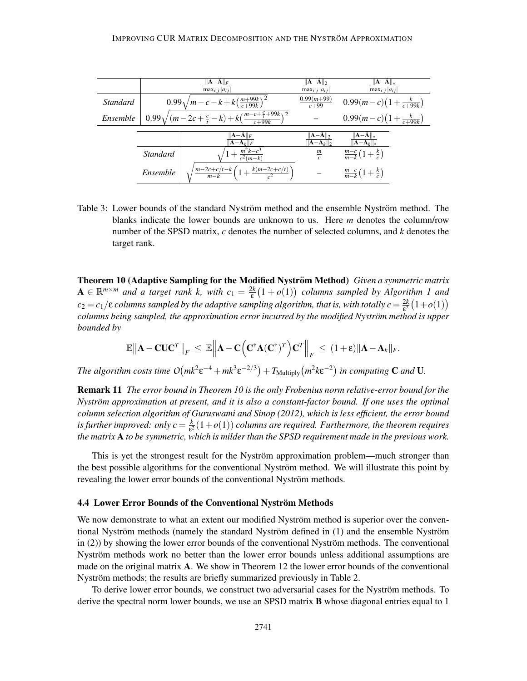|          |          | $\ \mathbf{A}-\tilde{\mathbf{A}}\ _F$<br>$\max_{i, j}  a_{ij} $          | $\ \mathbf{A}-\mathbf{A}\ _2$<br>$\max_{i,i}  a_{ij} $ | $\ \mathbf{A}-\mathbf{A}\ _*$<br>$\max_{i, j}  a_{ij} $ |
|----------|----------|--------------------------------------------------------------------------|--------------------------------------------------------|---------------------------------------------------------|
| Standard |          | $0.99\sqrt{m-c-k+k\left(\frac{m+99k}{c+99k}\right)^2}$                   | $\frac{0.99(m+99)}{c+99}$                              | $0.99(m-c)(1+\frac{k}{c+99k})$                          |
| Ensemble |          | $0.99\sqrt{(m-2c+\frac{c}{t}-k)+k(\frac{m-c+\frac{c}{t}+99k}{c+99k})^2}$ |                                                        | $0.99(m-c)(1+\frac{k}{c+99k})$                          |
|          |          |                                                                          |                                                        |                                                         |
|          |          | $\ A - A\ _F$<br>$\mathbf{A}-\mathbf{A}_k \Vert_F$                       | $ A-A  _2$<br>$  \mathbf{A}-\mathbf{A}_k  _2$          | $  A - A  _*$                                           |
|          | Standard | $1+\frac{m^2k-c^3}{c^2(m-k)}$                                            | $\frac{m}{c}$                                          | $\frac{m-c}{m-k}(1+\frac{k}{c})$                        |
|          | Ensemble | $\sqrt{\frac{m-2c+c/t-k}{m-k}\left(1+\frac{k(m-2c+c/t)}{c^2}\right)}$    |                                                        | $\frac{m-c}{m-k}(1+\frac{k}{c})$                        |

Table 3: Lower bounds of the standard Nyström method and the ensemble Nyström method. The blanks indicate the lower bounds are unknown to us. Here *m* denotes the column/row number of the SPSD matrix, *c* denotes the number of selected columns, and *k* denotes the target rank.

**Theorem 10 (Adaptive Sampling for the Modified Nyström Method)** Given a symmetric matrix  $A \in \mathbb{R}^{m \times m}$  and a target rank k, with  $c_1 = \frac{2k}{\varepsilon}(1 + o(1))$  columns sampled by Algorithm 1 and  $c_2 = c_1/\epsilon$  *columns sampled by the adaptive sampling algorithm, that is, with totally*  $c = \frac{2k}{\epsilon^2}$  $\frac{2k}{\epsilon^2}(1+o(1))$ *columns being sampled, the approximation error incurred by the modified Nyström method is upper bounded by*

$$
\mathbb{E}\left\|\mathbf{A}-\mathbf{C}\mathbf{U}\mathbf{C}^T\right\|_F \,\leq\, \mathbb{E}\left\|\mathbf{A}-\mathbf{C}\left(\mathbf{C}^{\dagger}\mathbf{A}(\mathbf{C}^{\dagger})^T\right)\mathbf{C}^T\right\|_F \,\leq\, (1+\varepsilon)\|\mathbf{A}-\mathbf{A}_k\|_F.
$$

*The algorithm costs time*  $O(mk^2 \varepsilon^{-4} + mk^3 \varepsilon^{-2/3}) + T_{\text{Multiply}}(m^2 k \varepsilon^{-2})$  *in computing* **C** *and* **U**.

Remark 11 *The error bound in Theorem 10 is the only Frobenius norm relative-error bound for the Nyström approximation at present, and it is also a constant-factor bound. If one uses the optimal column selection algorithm of Guruswami and Sinop (2012), which is less efficient, the error bound is further improved: only*  $c = \frac{k}{s^2}$  $\frac{k}{\epsilon^2}(1+o(1))$  columns are required. Furthermore, the theorem requires *the matrix* A *to be symmetric, which is milder than the SPSD requirement made in the previous work.*

This is yet the strongest result for the Nyström approximation problem—much stronger than the best possible algorithms for the conventional Nyström method. We will illustrate this point by revealing the lower error bounds of the conventional Nyström methods.

#### 4.4 Lower Error Bounds of the Conventional Nyström Methods

We now demonstrate to what an extent our modified Nyström method is superior over the conventional Nyström methods (namely the standard Nyström defined in (1) and the ensemble Nyström in  $(2)$ ) by showing the lower error bounds of the conventional Nyström methods. The conventional Nyström methods work no better than the lower error bounds unless additional assumptions are made on the original matrix A. We show in Theorem 12 the lower error bounds of the conventional Nyström methods; the results are briefly summarized previously in Table 2.

To derive lower error bounds, we construct two adversarial cases for the Nyström methods. To derive the spectral norm lower bounds, we use an SPSD matrix **B** whose diagonal entries equal to 1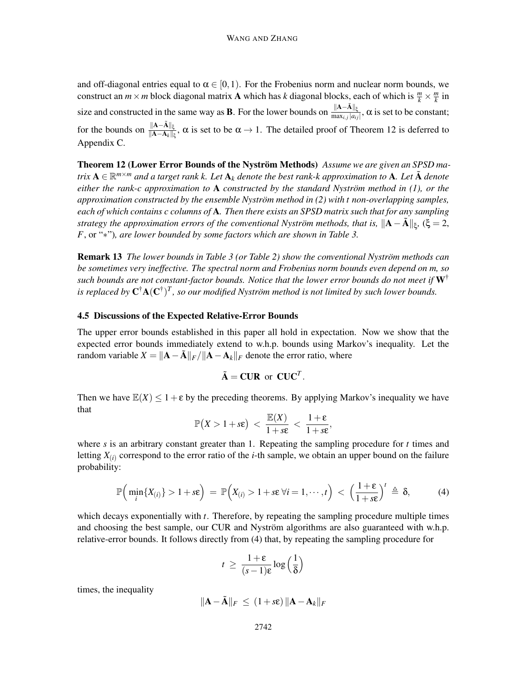and off-diagonal entries equal to  $\alpha \in [0,1)$ . For the Frobenius norm and nuclear norm bounds, we construct an  $m \times m$  block diagonal matrix **A** which has *k* diagonal blocks, each of which is  $\frac{m}{k} \times \frac{m}{k}$  $\frac{m}{k}$  in size and constructed in the same way as **B**. For the lower bounds on  $\frac{\|A-\tilde{A}\|_{\xi}}{\max_{i,j}|a_{ij}|}$ ,  $\alpha$  is set to be constant; for the bounds on  $\frac{\|A-\tilde{A}\|_{\xi}}{\|A-A_k\|_{\xi}}$ ,  $\alpha$  is set to be  $\alpha \to 1$ . The detailed proof of Theorem 12 is deferred to Appendix C.

Theorem 12 (Lower Error Bounds of the Nyström Methods) Assume we are given an SPSD ma*trix*  $A \in \mathbb{R}^{m \times m}$  and a target rank k. Let  $A_k$  denote the best rank-k approximation to  $A$ . Let  $\tilde{A}$  denote *either the rank-c approximation to*  $A$  *constructed by the standard Nyström method in (1), or the approximation constructed by the ensemble Nystrom method in (2) with t non-overlapping samples, ¨ each of which contains c columns of* A*. Then there exists an SPSD matrix such that for any sampling strategy the approximation errors of the conventional Nyström methods, that is,*  $\|\mathbf{A}-\tilde{\mathbf{A}}\|_{\xi}$ , ( $\xi = 2$ , *F*, or "∗")*, are lower bounded by some factors which are shown in Table 3.*

**Remark 13** *The lower bounds in Table 3 (or Table 2) show the conventional Nyström methods can be sometimes very ineffective. The spectral norm and Frobenius norm bounds even depend on m, so such bounds are not constant-factor bounds. Notice that the lower error bounds do not meet if* W† is replaced by  $C^{\dagger}A(C^{\dagger})^T$ , so our modified Nyström method is not limited by such lower bounds.

#### 4.5 Discussions of the Expected Relative-Error Bounds

The upper error bounds established in this paper all hold in expectation. Now we show that the expected error bounds immediately extend to w.h.p. bounds using Markov's inequality. Let the random variable  $X = ||\mathbf{A} - \tilde{\mathbf{A}}||_F / ||\mathbf{A} - \mathbf{A}_k||_F$  denote the error ratio, where

$$
\tilde{\mathbf{A}} = \mathbf{C}\mathbf{U}\mathbf{R} \text{ or } \mathbf{C}\mathbf{U}\mathbf{C}^T.
$$

Then we have  $\mathbb{E}(X) \leq 1 + \varepsilon$  by the preceding theorems. By applying Markov's inequality we have that

$$
\mathbb{P}(X>1+s\epsilon) \ < \ \frac{\mathbb{E}(X)}{1+s\epsilon} \ < \ \frac{1+\epsilon}{1+s\epsilon},
$$

where  $s$  is an arbitrary constant greater than 1. Repeating the sampling procedure for  $t$  times and letting  $X_{(i)}$  correspond to the error ratio of the *i*-th sample, we obtain an upper bound on the failure probability:

$$
\mathbb{P}\Big(\min_i \{X_{(i)}\} > 1+s\epsilon\Big) = \mathbb{P}\Big(X_{(i)} > 1+s\epsilon \ \forall i=1,\cdots,t\Big) < \Big(\frac{1+\epsilon}{1+s\epsilon}\Big)^t \triangleq \delta,\tag{4}
$$

which decays exponentially with *t*. Therefore, by repeating the sampling procedure multiple times and choosing the best sample, our CUR and Nyström algorithms are also guaranteed with w.h.p. relative-error bounds. It follows directly from (4) that, by repeating the sampling procedure for

$$
t \ge \frac{1+\varepsilon}{(s-1)\varepsilon} \log\left(\frac{1}{\delta}\right)
$$

times, the inequality

$$
\|\mathbf{A} - \tilde{\mathbf{A}}\|_F \leq (1 + s\epsilon) \|\mathbf{A} - \mathbf{A}_k\|_F
$$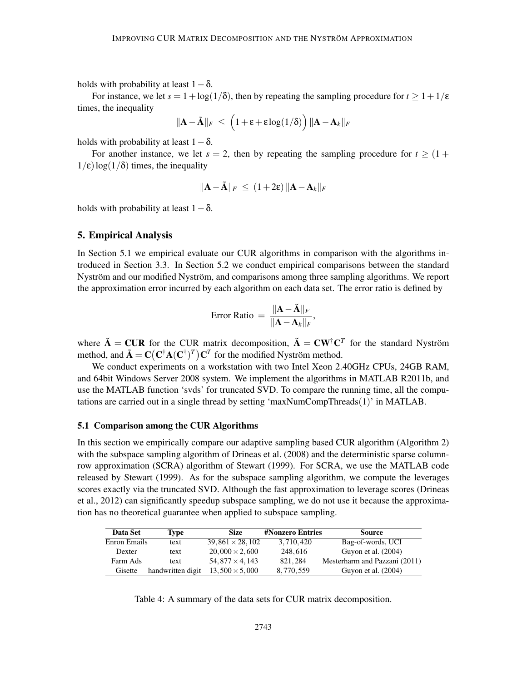holds with probability at least  $1-\delta$ .

For instance, we let  $s = 1 + \log(1/\delta)$ , then by repeating the sampling procedure for  $t \geq 1 + 1/\epsilon$ times, the inequality

$$
\|\mathbf{A} - \tilde{\mathbf{A}}\|_F \ \leq \ \left(1 + \varepsilon + \varepsilon \log(1/\delta) \right) \|\mathbf{A} - \mathbf{A}_k\|_F
$$

holds with probability at least  $1-\delta$ .

For another instance, we let  $s = 2$ , then by repeating the sampling procedure for  $t \geq (1 +$  $1/\epsilon$ )log( $1/\delta$ ) times, the inequality

$$
\|\mathbf{A} - \tilde{\mathbf{A}}\|_F \le (1 + 2\varepsilon) \|\mathbf{A} - \mathbf{A}_k\|_F
$$

holds with probability at least  $1-\delta$ .

### 5. Empirical Analysis

In Section 5.1 we empirical evaluate our CUR algorithms in comparison with the algorithms introduced in Section 3.3. In Section 5.2 we conduct empirical comparisons between the standard Nyström and our modified Nyström, and comparisons among three sampling algorithms. We report the approximation error incurred by each algorithm on each data set. The error ratio is defined by

Error Ratio 
$$
=
$$
 
$$
\frac{\|\mathbf{A} - \tilde{\mathbf{A}}\|_F}{\|\mathbf{A} - \mathbf{A}_k\|_F},
$$

where  $\tilde{A} = CUR$  for the CUR matrix decomposition,  $\tilde{A} = CW^{\dagger}C^{T}$  for the standard Nyström method, and  $\tilde{\mathbf{A}} = \mathbf{C} (\mathbf{C}^{\dagger} \mathbf{A} (\mathbf{C}^{\dagger})^T) \mathbf{C}^T$  for the modified Nyström method.

We conduct experiments on a workstation with two Intel Xeon 2.40GHz CPUs, 24GB RAM, and 64bit Windows Server 2008 system. We implement the algorithms in MATLAB R2011b, and use the MATLAB function 'svds' for truncated SVD. To compare the running time, all the computations are carried out in a single thread by setting 'maxNumCompThreads(1)' in MATLAB.

# 5.1 Comparison among the CUR Algorithms

In this section we empirically compare our adaptive sampling based CUR algorithm (Algorithm 2) with the subspace sampling algorithm of Drineas et al. (2008) and the deterministic sparse columnrow approximation (SCRA) algorithm of Stewart (1999). For SCRA, we use the MATLAB code released by Stewart (1999). As for the subspace sampling algorithm, we compute the leverages scores exactly via the truncated SVD. Although the fast approximation to leverage scores (Drineas et al., 2012) can significantly speedup subspace sampling, we do not use it because the approximation has no theoretical guarantee when applied to subspace sampling.

| Data Set     | Tvpe              | <b>Size</b>            | <b>#Nonzero Entries</b> | <b>Source</b>                 |
|--------------|-------------------|------------------------|-------------------------|-------------------------------|
| Enron Emails | text              | $39,861 \times 28,102$ | 3,710,420               | Bag-of-words, UCI             |
| Dexter       | text              | $20,000 \times 2,600$  | 248,616                 | Guyon et al. (2004)           |
| Farm Ads     | text              | $54,877 \times 4,143$  | 821.284                 | Mesterharm and Pazzani (2011) |
| Gisette      | handwritten digit | $13,500 \times 5,000$  | 8,770,559               | Guyon et al. $(2004)$         |

Table 4: A summary of the data sets for CUR matrix decomposition.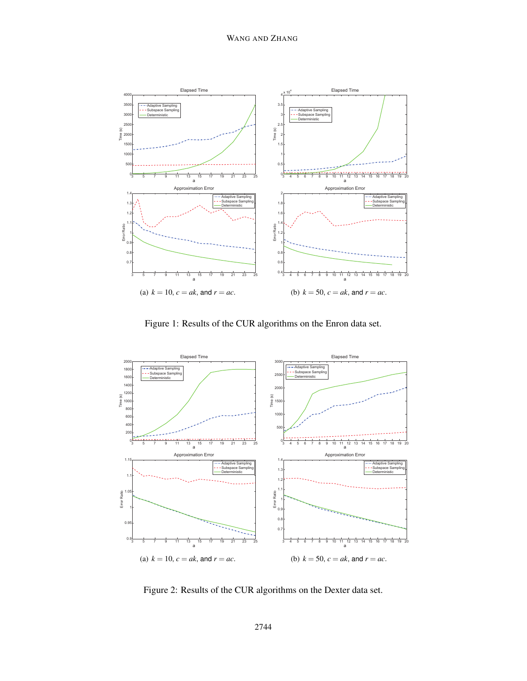

Figure 1: Results of the CUR algorithms on the Enron data set.



Figure 2: Results of the CUR algorithms on the Dexter data set.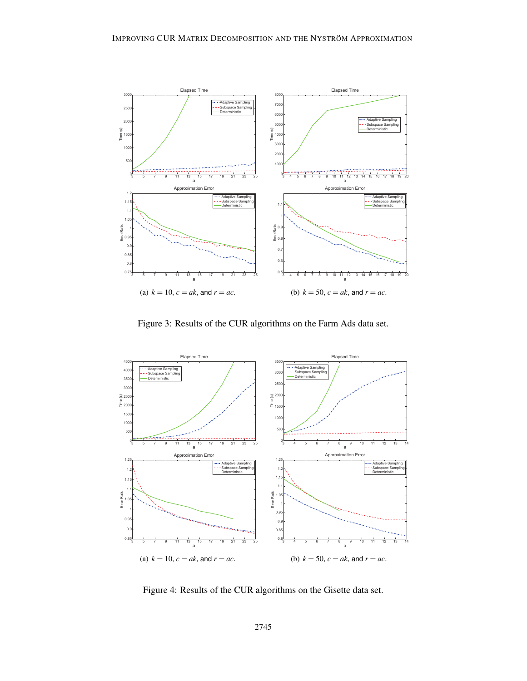

Figure 3: Results of the CUR algorithms on the Farm Ads data set.



Figure 4: Results of the CUR algorithms on the Gisette data set.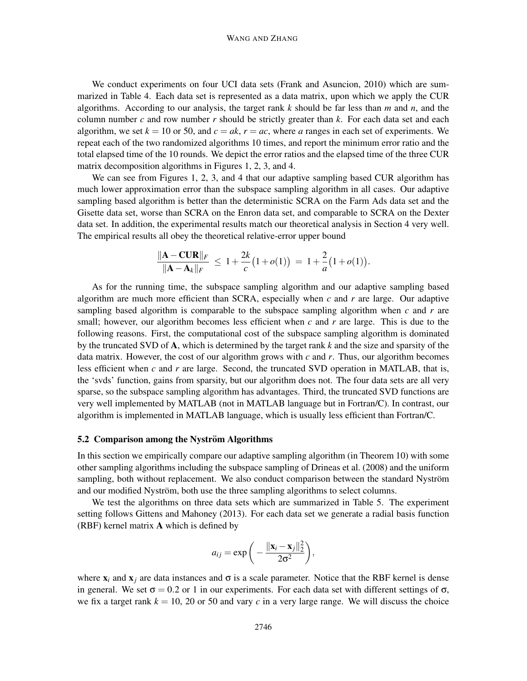We conduct experiments on four UCI data sets (Frank and Asuncion, 2010) which are summarized in Table 4. Each data set is represented as a data matrix, upon which we apply the CUR algorithms. According to our analysis, the target rank *k* should be far less than *m* and *n*, and the column number  $c$  and row number  $r$  should be strictly greater than  $k$ . For each data set and each algorithm, we set  $k = 10$  or 50, and  $c = ak$ ,  $r = ac$ , where *a* ranges in each set of experiments. We repeat each of the two randomized algorithms 10 times, and report the minimum error ratio and the total elapsed time of the 10 rounds. We depict the error ratios and the elapsed time of the three CUR matrix decomposition algorithms in Figures 1, 2, 3, and 4.

We can see from Figures 1, 2, 3, and 4 that our adaptive sampling based CUR algorithm has much lower approximation error than the subspace sampling algorithm in all cases. Our adaptive sampling based algorithm is better than the deterministic SCRA on the Farm Ads data set and the Gisette data set, worse than SCRA on the Enron data set, and comparable to SCRA on the Dexter data set. In addition, the experimental results match our theoretical analysis in Section 4 very well. The empirical results all obey the theoretical relative-error upper bound

$$
\frac{\|\mathbf{A} - \mathbf{C}\mathbf{U}\mathbf{R}\|_F}{\|\mathbf{A} - \mathbf{A}_k\|_F} \le 1 + \frac{2k}{c} \big(1 + o(1)\big) = 1 + \frac{2}{a} \big(1 + o(1)\big).
$$

As for the running time, the subspace sampling algorithm and our adaptive sampling based algorithm are much more efficient than SCRA, especially when *c* and *r* are large. Our adaptive sampling based algorithm is comparable to the subspace sampling algorithm when *c* and *r* are small; however, our algorithm becomes less efficient when *c* and *r* are large. This is due to the following reasons. First, the computational cost of the subspace sampling algorithm is dominated by the truncated SVD of A, which is determined by the target rank *k* and the size and sparsity of the data matrix. However, the cost of our algorithm grows with *c* and *r*. Thus, our algorithm becomes less efficient when *c* and *r* are large. Second, the truncated SVD operation in MATLAB, that is, the 'svds' function, gains from sparsity, but our algorithm does not. The four data sets are all very sparse, so the subspace sampling algorithm has advantages. Third, the truncated SVD functions are very well implemented by MATLAB (not in MATLAB language but in Fortran/C). In contrast, our algorithm is implemented in MATLAB language, which is usually less efficient than Fortran/C.

#### 5.2 Comparison among the Nyström Algorithms

In this section we empirically compare our adaptive sampling algorithm (in Theorem 10) with some other sampling algorithms including the subspace sampling of Drineas et al. (2008) and the uniform sampling, both without replacement. We also conduct comparison between the standard Nyström and our modified Nyström, both use the three sampling algorithms to select columns.

We test the algorithms on three data sets which are summarized in Table 5. The experiment setting follows Gittens and Mahoney (2013). For each data set we generate a radial basis function (RBF) kernel matrix A which is defined by

$$
a_{ij} = \exp\bigg(-\frac{\|\mathbf{x}_i - \mathbf{x}_j\|_2^2}{2\sigma^2}\bigg),\,
$$

where  $x_i$  and  $x_j$  are data instances and  $\sigma$  is a scale parameter. Notice that the RBF kernel is dense in general. We set  $\sigma = 0.2$  or 1 in our experiments. For each data set with different settings of  $\sigma$ , we fix a target rank  $k = 10$ , 20 or 50 and vary *c* in a very large range. We will discuss the choice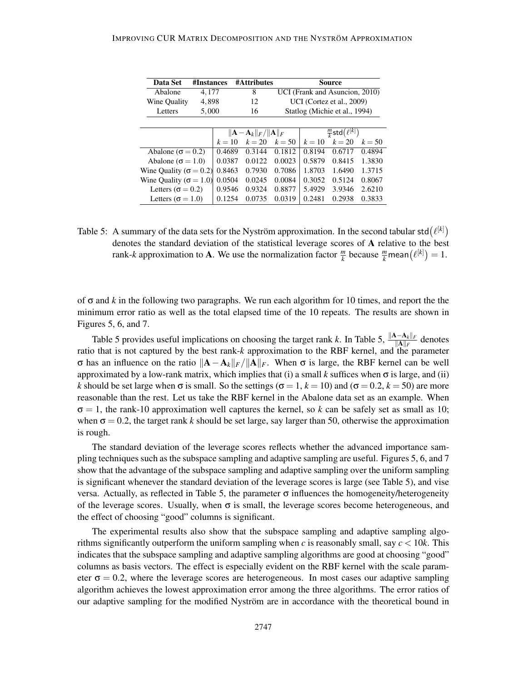| Data Set<br>#Instances          |  |        | #Attributes                                      |                                |                               | Source                           |          |  |
|---------------------------------|--|--------|--------------------------------------------------|--------------------------------|-------------------------------|----------------------------------|----------|--|
| 4,177<br>Abalone                |  |        | 8                                                | UCI (Frank and Asuncion, 2010) |                               |                                  |          |  |
| 4,898<br>Wine Quality           |  |        | 12                                               |                                | UCI (Cortez et al., 2009)     |                                  |          |  |
| 5,000<br>Letters                |  |        | 16                                               |                                | Statlog (Michie et al., 1994) |                                  |          |  |
|                                 |  |        |                                                  |                                |                               |                                  |          |  |
|                                 |  |        | $\ \mathbf{A}-\mathbf{A}_k\ _F/\ \mathbf{A}\ _F$ |                                |                               | $\frac{m}{k}$ std $(\ell^{[k]})$ |          |  |
|                                 |  | $k=10$ | $k=20$                                           | $k = 50$                       | $k=10$                        | $k=20$                           | $k = 50$ |  |
| Abalone ( $\sigma$ = 0.2)       |  | 0.4689 | 0.3144                                           | 0.1812                         | 0.8194                        | 0.6717                           | 0.4894   |  |
| Abalone ( $\sigma$ = 1.0)       |  | 0.0387 | 0.0122                                           | 0.0023                         | 0.5879                        | 0.8415                           | 1.3830   |  |
| Wine Quality ( $\sigma = 0.2$ ) |  | 0.8463 | 0.7930                                           | 0.7086                         | 1.8703                        | 1.6490                           | 1.3715   |  |
| Wine Quality ( $\sigma = 1.0$ ) |  | 0.0504 | 0.0245                                           | 0.0084                         | 0.3052                        | 0.5124                           | 0.8067   |  |
| Letters ( $\sigma$ = 0.2)       |  | 0.9546 | 0.9324                                           | 0.8877                         | 5.4929                        | 3.9346                           | 2.6210   |  |
| Letters ( $\sigma$ = 1.0)       |  | 0.1254 | 0.0735                                           | 0.0319                         | 0.2481                        | 0.2938                           | 0.3833   |  |

Table 5: A summary of the data sets for the Nyström approximation. In the second tabular std $(\ell^{[k]})$ denotes the standard deviation of the statistical leverage scores of A relative to the best rank-*k* approximation to **A**. We use the normalization factor  $\frac{m}{k}$  because  $\frac{m}{k}$  mean $(\ell^{[k]}) = 1$ .

of σ and *k* in the following two paragraphs. We run each algorithm for 10 times, and report the the minimum error ratio as well as the total elapsed time of the 10 repeats. The results are shown in Figures 5, 6, and 7.

Table 5 provides useful implications on choosing the target rank *k*. In Table 5,  $\frac{\|A-A_k\|_F}{\|A\|_F}$  denotes ratio that is not captured by the best rank-*k* approximation to the RBF kernel, and the parameter  $σ$  has an influence on the ratio  $||A−A_k||_F/||A||_F$ . When  $σ$  is large, the RBF kernel can be well approximated by a low-rank matrix, which implies that (i) a small  $k$  suffices when  $\sigma$  is large, and (ii) *k* should be set large when  $\sigma$  is small. So the settings ( $\sigma = 1$ ,  $k = 10$ ) and ( $\sigma = 0.2$ ,  $k = 50$ ) are more reasonable than the rest. Let us take the RBF kernel in the Abalone data set as an example. When  $\sigma = 1$ , the rank-10 approximation well captures the kernel, so k can be safely set as small as 10; when  $\sigma = 0.2$ , the target rank *k* should be set large, say larger than 50, otherwise the approximation is rough.

The standard deviation of the leverage scores reflects whether the advanced importance sampling techniques such as the subspace sampling and adaptive sampling are useful. Figures 5, 6, and 7 show that the advantage of the subspace sampling and adaptive sampling over the uniform sampling is significant whenever the standard deviation of the leverage scores is large (see Table 5), and vise versa. Actually, as reflected in Table 5, the parameter σ influences the homogeneity/heterogeneity of the leverage scores. Usually, when  $\sigma$  is small, the leverage scores become heterogeneous, and the effect of choosing "good" columns is significant.

The experimental results also show that the subspace sampling and adaptive sampling algorithms significantly outperform the uniform sampling when *c* is reasonably small, say  $c < 10k$ . This indicates that the subspace sampling and adaptive sampling algorithms are good at choosing "good" columns as basis vectors. The effect is especially evident on the RBF kernel with the scale parameter  $\sigma = 0.2$ , where the leverage scores are heterogeneous. In most cases our adaptive sampling algorithm achieves the lowest approximation error among the three algorithms. The error ratios of our adaptive sampling for the modified Nyström are in accordance with the theoretical bound in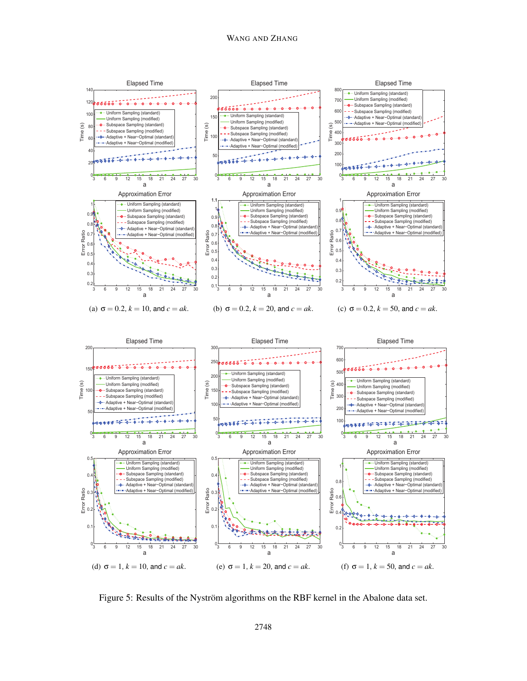

Figure 5: Results of the Nyström algorithms on the RBF kernel in the Abalone data set.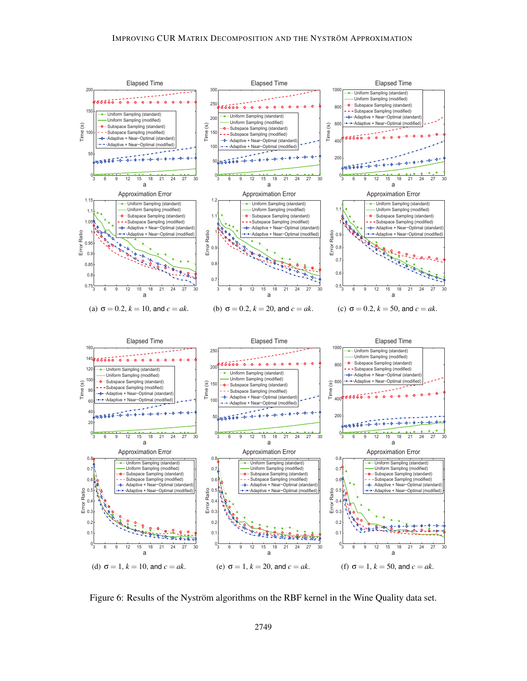

Figure 6: Results of the Nyström algorithms on the RBF kernel in the Wine Quality data set.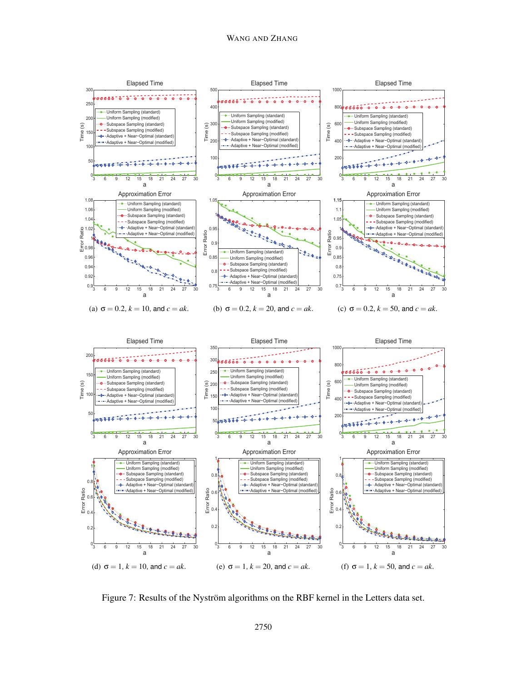

Figure 7: Results of the Nyström algorithms on the RBF kernel in the Letters data set.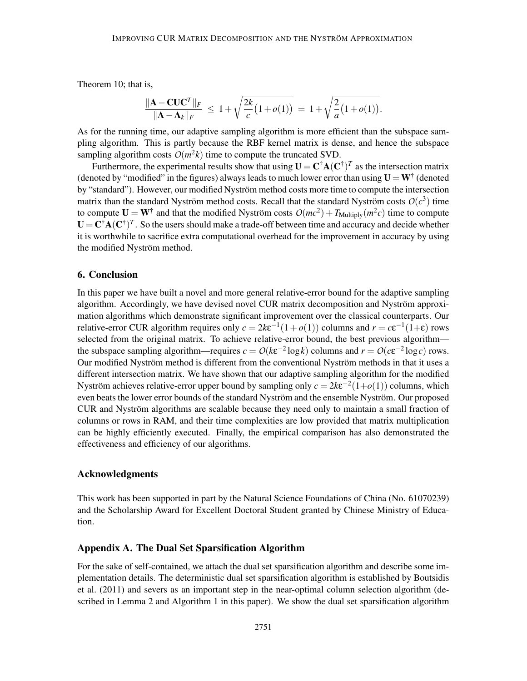Theorem 10; that is,

$$
\frac{\|\mathbf{A} - \mathbf{C} \mathbf{U} \mathbf{C}^T\|_F}{\|\mathbf{A} - \mathbf{A}_k\|_F} \le 1 + \sqrt{\frac{2k}{c} (1 + o(1))} = 1 + \sqrt{\frac{2}{a} (1 + o(1))}.
$$

As for the running time, our adaptive sampling algorithm is more efficient than the subspace sampling algorithm. This is partly because the RBF kernel matrix is dense, and hence the subspace sampling algorithm costs  $O(m^2k)$  time to compute the truncated SVD.

Furthermore, the experimental results show that using  $U = C^{\dagger} A (C^{\dagger})^T$  as the intersection matrix (denoted by "modified" in the figures) always leads to much lower error than using  $U = W^{\dagger}$  (denoted by "standard"). However, our modified Nyström method costs more time to compute the intersection matrix than the standard Nyström method costs. Recall that the standard Nyström costs  $O(c^3)$  time to compute  $U = W^{\dagger}$  and that the modified Nyström costs  $O(mc^2) + T_{Multiply}(m^2c)$  time to compute  $U = C^{\dagger} A (C^{\dagger})^T$ . So the users should make a trade-off between time and accuracy and decide whether it is worthwhile to sacrifice extra computational overhead for the improvement in accuracy by using the modified Nyström method.

# 6. Conclusion

In this paper we have built a novel and more general relative-error bound for the adaptive sampling algorithm. Accordingly, we have devised novel CUR matrix decomposition and Nyström approximation algorithms which demonstrate significant improvement over the classical counterparts. Our relative-error CUR algorithm requires only  $c = 2k\varepsilon^{-1}(1+o(1))$  columns and  $r = c\varepsilon^{-1}(1+\varepsilon)$  rows selected from the original matrix. To achieve relative-error bound, the best previous algorithm the subspace sampling algorithm—requires  $c = O(k\epsilon^{-2} \log k)$  columns and  $r = O(c\epsilon^{-2} \log c)$  rows. Our modified Nyström method is different from the conventional Nyström methods in that it uses a different intersection matrix. We have shown that our adaptive sampling algorithm for the modified Nyström achieves relative-error upper bound by sampling only  $c = 2k\varepsilon^{-2}(1+o(1))$  columns, which even beats the lower error bounds of the standard Nyström and the ensemble Nyström. Our proposed CUR and Nyström algorithms are scalable because they need only to maintain a small fraction of columns or rows in RAM, and their time complexities are low provided that matrix multiplication can be highly efficiently executed. Finally, the empirical comparison has also demonstrated the effectiveness and efficiency of our algorithms.

#### Acknowledgments

This work has been supported in part by the Natural Science Foundations of China (No. 61070239) and the Scholarship Award for Excellent Doctoral Student granted by Chinese Ministry of Education.

# Appendix A. The Dual Set Sparsification Algorithm

For the sake of self-contained, we attach the dual set sparsification algorithm and describe some implementation details. The deterministic dual set sparsification algorithm is established by Boutsidis et al. (2011) and severs as an important step in the near-optimal column selection algorithm (described in Lemma 2 and Algorithm 1 in this paper). We show the dual set sparsification algorithm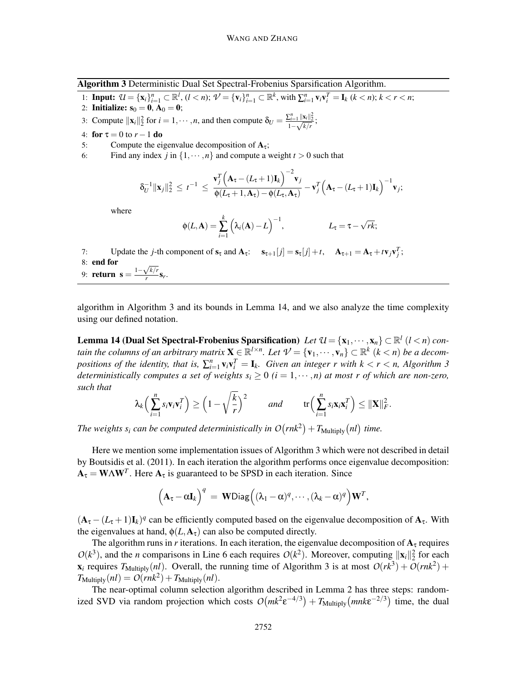Algorithm 3 Deterministic Dual Set Spectral-Frobenius Sparsification Algorithm.

- 1: **Input:**  $U = {\mathbf{x}_i}_{i=1}^n \subset \mathbb{R}^l$ ,  $(l < n)$ ;  $V = {\mathbf{v}_i}_{i=1}^n \subset \mathbb{R}^k$ , with  $\sum_{i=1}^n {\mathbf{v}_i}{\mathbf{v}_i}^T = {\mathbf{I}_k}$   $(k < n)$ ;  $k < r < n$ ;
- 2: **Initialize:**  $s_0 = 0$ ,  $A_0 = 0$ ;
- 3: Compute  $\|\mathbf{x}_i\|_2^2$  for  $i = 1, \dots, n$ , and then compute  $\delta_U = \frac{\sum_{i=1}^n \|\mathbf{x}_i\|_2^2}{1 \sqrt{k/r}}$ ;
- 4: **for**  $\tau = 0$  to  $r 1$  **do**<br>5: Compute the ei
- Compute the eigenvalue decomposition of  $A_{\tau}$ ;
- 6: Find any index *j* in  $\{1, \dots, n\}$  and compute a weight  $t > 0$  such that

$$
\delta_U^{-1} \|\mathbf{x}_j\|_2^2 \leq t^{-1} \leq \frac{\mathbf{v}_j^T \Big(\mathbf{A}_\tau - (L_\tau + 1)\mathbf{I}_k\Big)^{-2} \mathbf{v}_j}{\phi(L_\tau + 1, \mathbf{A}_\tau) - \phi(L_\tau, \mathbf{A}_\tau)} - \mathbf{v}_j^T \Big(\mathbf{A}_\tau - (L_\tau + 1)\mathbf{I}_k\Big)^{-1} \mathbf{v}_j;
$$

where

$$
\phi(L, \mathbf{A}) = \sum_{i=1}^k \left( \lambda_i(\mathbf{A}) - L \right)^{-1}, \qquad L_{\tau} = \tau - \sqrt{rk};
$$

7: Update the *j*-th component of  $s_\tau$  and  $A_\tau$ :  $s_{\tau+1}[j] = s_\tau[j] + t$ ,  $A_{\tau+1} = A_\tau + t v_j v_j^T$ ; 8: end for 9: **return**  $\mathbf{s} = \frac{1 - \sqrt{k/r}}{r}$  $\frac{\sqrt{\kappa/r}}{r}$ **s**<sub>r</sub>.

algorithm in Algorithm 3 and its bounds in Lemma 14, and we also analyze the time complexity using our defined notation.

Lemma 14 (Dual Set Spectral-Frobenius Sparsification) *Let*  $\mathcal{U} = {\mathbf{x}_1, \cdots, \mathbf{x}_n} \subset \mathbb{R}^l$  (*l* < *n*) *contain the columns of an arbitrary matrix*  $X \in \mathbb{R}^{l \times n}$ . Let  $\mathcal{V} = \{v_1, \dots, v_n\} \subset \mathbb{R}^k$   $(k < n)$  be a decom*positions of the identity, that is,*  $\sum_{i=1}^{n} v_i v_i^T = I_k$ *. Given an integer r with k* < *r* < *n, Algorithm 3 deterministically computes a set of weights*  $s_i \geq 0$  ( $i = 1, \dots, n$ ) at most r of which are non-zero, *such that*

$$
\lambda_k\Big(\sum_{i=1}^n s_i \mathbf{v}_i \mathbf{v}_i^T\Big) \ge \Big(1-\sqrt{\frac{k}{r}}\Big)^2 \qquad \text{and} \qquad \text{tr}\Big(\sum_{i=1}^n s_i \mathbf{x}_i \mathbf{x}_i^T\Big) \le \|\mathbf{X}\|_F^2.
$$

The weights  $s_i$  *can be computed deterministically in*  $O(rnk^2) + T_{\text{Multiply}}(nl)$  time.

Here we mention some implementation issues of Algorithm 3 which were not described in detail by Boutsidis et al. (2011). In each iteration the algorithm performs once eigenvalue decomposition:  $A_{\tau} = W\Lambda W^{T}$ . Here  $A_{\tau}$  is guaranteed to be SPSD in each iteration. Since

$$
\Big(\mathbf{A}_\tau - \alpha \mathbf{I}_k\Big)^q = \mathbf{W} \text{Diag}\Big((\lambda_1 - \alpha)^q, \cdots, (\lambda_k - \alpha)^q\Big)\mathbf{W}^T,
$$

 $(A_{\tau} - (L_{\tau} + 1)I_k)^q$  can be efficiently computed based on the eigenvalue decomposition of  $A_{\tau}$ . With the eigenvalues at hand,  $\phi(L, A_{\tau})$  can also be computed directly.

The algorithm runs in *r* iterations. In each iteration, the eigenvalue decomposition of  $A<sub>\tau</sub>$  requires  $O(k^3)$ , and the *n* comparisons in Line 6 each requires  $O(k^2)$ . Moreover, computing  $||\mathbf{x}_i||_2^2$  for each  $\mathbf{x}_i$  requires  $T_{\text{Multiply}}(nl)$ . Overall, the running time of Algorithm 3 is at most  $O(rk^3) + O(rnk^2) + O(rnk^2)$  $T_{\text{Multiply}}(nl) = O(rnk^2) + T_{\text{Multiply}}(nl).$ 

The near-optimal column selection algorithm described in Lemma 2 has three steps: randomized SVD via random projection which costs  $O(mk^2 \epsilon^{-4/3}) + T_{\text{Multiply}}(mnk\epsilon^{-2/3})$  time, the dual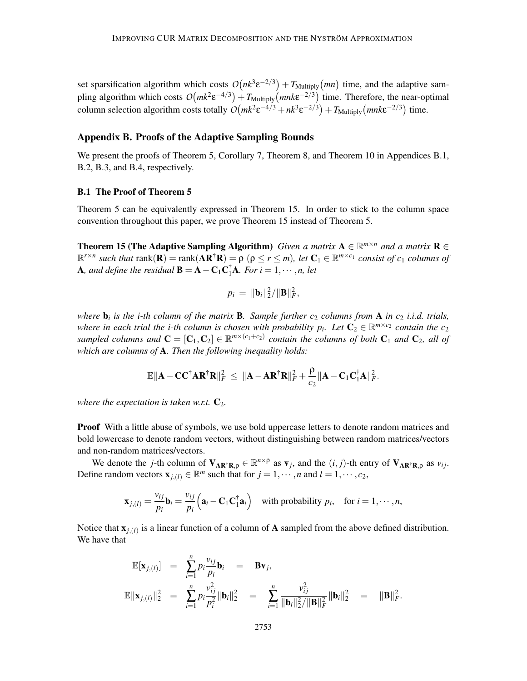set sparsification algorithm which costs  $O(nk^3 \epsilon^{-2/3}) + T_{\text{Multiply}}(mn)$  time, and the adaptive sampling algorithm which costs  $O(mk^2 \epsilon^{-4/3}) + T_{\text{Multiply}}(mnk\epsilon^{-2/3})$  time. Therefore, the near-optimal column selection algorithm costs totally  $O(mk^2 \varepsilon^{-4/3} + nk^3 \varepsilon^{-2/3}) + T_{\text{Multiply}}(mnk\varepsilon^{-2/3})$  time.

# Appendix B. Proofs of the Adaptive Sampling Bounds

We present the proofs of Theorem 5, Corollary 7, Theorem 8, and Theorem 10 in Appendices B.1, B.2, B.3, and B.4, respectively.

#### B.1 The Proof of Theorem 5

Theorem 5 can be equivalently expressed in Theorem 15. In order to stick to the column space convention throughout this paper, we prove Theorem 15 instead of Theorem 5.

**Theorem 15 (The Adaptive Sampling Algorithm)** *Given a matrix*  $A \in \mathbb{R}^{m \times n}$  *and a matrix*  $R \in$  $\mathbb{R}^{r \times n}$  *such that*  $\text{rank}(\mathbf{R}) = \text{rank}(\mathbf{A} \mathbf{R}^{\dagger} \mathbf{R}) = \rho$  ( $\rho \le r \le m$ ), let  $\mathbf{C}_1 \in \mathbb{R}^{m \times c_1}$  *consist of c<sub>1</sub> columns of* **A**, and define the residual **B** = **A** – **C**<sub>1</sub>**C**<sub>1</sub>**A**. For  $i = 1, \dots, n$ , let

$$
p_i = \|\mathbf{b}_i\|_2^2 / \|\mathbf{B}\|_F^2,
$$

*where* b*<sup>i</sup> is the i-th column of the matrix* B*. Sample further c*<sup>2</sup> *columns from* A *in c*<sup>2</sup> *i.i.d. trials, where in each trial the i-th column is chosen with probability*  $p_i$ *. Let*  $\mathbb{C}_2 \in \mathbb{R}^{m \times c_2}$  *contain the c*<sub>2</sub> *sampled columns and*  $C = [C_1, C_2] \in \mathbb{R}^{m \times (c_1+c_2)}$  *contain the columns of both*  $C_1$  *and*  $C_2$ *, all of which are columns of* A*. Then the following inequality holds:*

$$
\mathbb{E}\|\boldsymbol A-\boldsymbol C\boldsymbol C^\dagger\boldsymbol A\boldsymbol R^\dagger\boldsymbol R\|_F^2\,\leq\,\|\boldsymbol A-\boldsymbol A\boldsymbol R^\dagger\boldsymbol R\|_F^2+\frac{\rho}{c_2}\|\boldsymbol A-\boldsymbol C_1\boldsymbol C_1^\dagger\boldsymbol A\|_F^2.
$$

*where the expectation is taken w.r.t.*  $C_2$ *.* 

**Proof** With a little abuse of symbols, we use bold uppercase letters to denote random matrices and bold lowercase to denote random vectors, without distinguishing between random matrices/vectors and non-random matrices/vectors.

We denote the *j*-th column of  $V_{AR^{\dagger}R,\rho} \in \mathbb{R}^{n \times \rho}$  as  $v_j$ , and the  $(i, j)$ -th entry of  $V_{AR^{\dagger}R,\rho}$  as  $v_{ij}$ . Define random vectors  $\mathbf{x}_{j,(l)} \in \mathbb{R}^m$  such that for  $j = 1, \dots, n$  and  $l = 1, \dots, c_2$ ,

$$
\mathbf{x}_{j,(l)} = \frac{v_{ij}}{p_i} \mathbf{b}_i = \frac{v_{ij}}{p_i} \left( \mathbf{a}_i - \mathbf{C}_1 \mathbf{C}_1^{\dagger} \mathbf{a}_i \right) \quad \text{with probability } p_i, \quad \text{for } i = 1, \cdots, n,
$$

Notice that  $\mathbf{x}_{j,(l)}$  is a linear function of a column of **A** sampled from the above defined distribution. We have that

$$
\mathbb{E}[\mathbf{x}_{j,(l)}] = \sum_{i=1}^{n} p_i \frac{v_{ij}}{p_i} \mathbf{b}_i = \mathbf{B} \mathbf{v}_j,
$$
  

$$
\mathbb{E} \|\mathbf{x}_{j,(l)}\|_2^2 = \sum_{i=1}^{n} p_i \frac{v_{ij}^2}{p_i^2} \|\mathbf{b}_i\|_2^2 = \sum_{i=1}^{n} \frac{v_{ij}^2}{\|\mathbf{b}_i\|_2^2 / \|\mathbf{B}\|_F^2} \|\mathbf{b}_i\|_2^2 = \|\mathbf{B}\|_F^2.
$$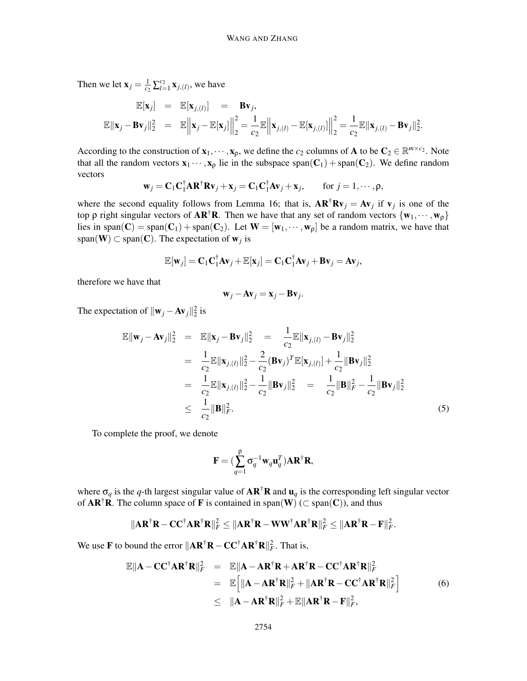Then we let  $\mathbf{x}_j = \frac{1}{c^2}$  $\frac{1}{c_2} \sum_{l=1}^{c_2} \mathbf{x}_{j,(l)}$ , we have

$$
\mathbb{E}[\mathbf{x}_j] = \mathbb{E}[\mathbf{x}_{j,(l)}] = \mathbf{B}\mathbf{v}_j,
$$
  

$$
\mathbb{E}[\mathbf{x}_j - \mathbf{B}\mathbf{v}_j\|_2^2 = \mathbb{E}\left\|\mathbf{x}_j - \mathbb{E}[\mathbf{x}_j]\right\|_2^2 = \frac{1}{c_2} \mathbb{E}\left\|\mathbf{x}_{j,(l)} - \mathbb{E}[\mathbf{x}_{j,(l)}]\right\|_2^2 = \frac{1}{c_2} \mathbb{E}\|\mathbf{x}_{j,(l)} - \mathbf{B}\mathbf{v}_j\|_2^2.
$$

According to the construction of  $\mathbf{x}_1, \dots, \mathbf{x}_p$ , we define the *c*<sub>2</sub> columns of **A** to be  $\mathbf{C}_2 \in \mathbb{R}^{m \times c_2}$ . Note that all the random vectors  $x_1 \cdots, x_p$  lie in the subspace span( $C_1$ ) + span( $C_2$ ). We define random vectors

$$
\mathbf{w}_j = \mathbf{C}_1 \mathbf{C}_1^{\dagger} \mathbf{A} \mathbf{R}^{\dagger} \mathbf{R} \mathbf{v}_j + \mathbf{x}_j = \mathbf{C}_1 \mathbf{C}_1^{\dagger} \mathbf{A} \mathbf{v}_j + \mathbf{x}_j, \quad \text{for } j = 1, \cdots, \rho,
$$

where the second equality follows from Lemma 16; that is,  $AR^{\dagger}Rv_j = Av_j$  if  $v_j$  is one of the top  $\rho$  right singular vectors of  $AR^{\dagger}R$ . Then we have that any set of random vectors  $\{w_1, \dots, w_{\rho}\}\$ lies in span(C) = span(C<sub>1</sub>) + span(C<sub>2</sub>). Let  $W = [w_1, \dots, w_p]$  be a random matrix, we have that span( $\mathbf{W}$ )  $\subset$  span( $\mathbf{C}$ ). The expectation of  $\mathbf{w}_j$  is

$$
\mathbb{E}[\mathbf{w}_j] = \mathbf{C}_1 \mathbf{C}_1^{\dagger} \mathbf{A} \mathbf{v}_j + \mathbb{E}[\mathbf{x}_j] = \mathbf{C}_1 \mathbf{C}_1^{\dagger} \mathbf{A} \mathbf{v}_j + \mathbf{B} \mathbf{v}_j = \mathbf{A} \mathbf{v}_j,
$$

therefore we have that

$$
\mathbf{w}_j - \mathbf{A}\mathbf{v}_j = \mathbf{x}_j - \mathbf{B}\mathbf{v}_j.
$$

The expectation of  $\|\mathbf{w}_j - \mathbf{A}\mathbf{v}_j\|_2^2$  is

$$
\mathbb{E} \|\mathbf{w}_{j} - \mathbf{A} \mathbf{v}_{j}\|_{2}^{2} = \mathbb{E} \|\mathbf{x}_{j} - \mathbf{B} \mathbf{v}_{j}\|_{2}^{2} = \frac{1}{c_{2}} \mathbb{E} \|\mathbf{x}_{j,(l)} - \mathbf{B} \mathbf{v}_{j}\|_{2}^{2}
$$
\n
$$
= \frac{1}{c_{2}} \mathbb{E} \|\mathbf{x}_{j,(l)}\|_{2}^{2} - \frac{2}{c_{2}} (\mathbf{B} \mathbf{v}_{j})^{T} \mathbb{E} [\mathbf{x}_{j,(l)}] + \frac{1}{c_{2}} \|\mathbf{B} \mathbf{v}_{j}\|_{2}^{2}
$$
\n
$$
= \frac{1}{c_{2}} \mathbb{E} \|\mathbf{x}_{j,(l)}\|_{2}^{2} - \frac{1}{c_{2}} \|\mathbf{B} \mathbf{v}_{j}\|_{2}^{2} = \frac{1}{c_{2}} \|\mathbf{B} \|\mathbf{F} - \frac{1}{c_{2}} \|\mathbf{B} \mathbf{v}_{j}\|_{2}^{2}
$$
\n
$$
\leq \frac{1}{c_{2}} \|\mathbf{B} \|\mathbf{F} \|\mathbf{F}. \tag{5}
$$

To complete the proof, we denote

$$
\mathbf{F} = (\sum_{q=1}^\rho \sigma_q^{-1} \mathbf{w}_q \mathbf{u}_q^T) \mathbf{A} \mathbf{R}^\dagger \mathbf{R},
$$

where  $\sigma_q$  is the *q*-th largest singular value of  $AR^{\dagger}R$  and  $u_q$  is the corresponding left singular vector of  $AR^{\dagger}R$ . The column space of F is contained in span(W) ( $\subset$  span(C)), and thus

$$
\|\mathbf{AR}^\dagger \mathbf{R} - \mathbf{CC}^\dagger \mathbf{AR}^\dagger \mathbf{R}\|_F^2 \leq \|\mathbf{AR}^\dagger \mathbf{R} - \mathbf{WW}^\dagger \mathbf{AR}^\dagger \mathbf{R}\|_F^2 \leq \|\mathbf{AR}^\dagger \mathbf{R} - \mathbf{F}\|_F^2.
$$

We use **F** to bound the error  $\|\mathbf{AR}^{\dagger}\mathbf{R} - \mathbf{CC}^{\dagger}\mathbf{AR}^{\dagger}\mathbf{R}\|_F^2$ . That is,

$$
\mathbb{E} \|\mathbf{A} - \mathbf{C} \mathbf{C}^{\dagger} \mathbf{A} \mathbf{R}^{\dagger} \mathbf{R} \|_{F}^{2} = \mathbb{E} \|\mathbf{A} - \mathbf{A} \mathbf{R}^{\dagger} \mathbf{R} + \mathbf{A} \mathbf{R}^{\dagger} \mathbf{R} - \mathbf{C} \mathbf{C}^{\dagger} \mathbf{A} \mathbf{R}^{\dagger} \mathbf{R} \|_{F}^{2}
$$
\n
$$
= \mathbb{E} \Big[ \| \mathbf{A} - \mathbf{A} \mathbf{R}^{\dagger} \mathbf{R} \|_{F}^{2} + \| \mathbf{A} \mathbf{R}^{\dagger} \mathbf{R} - \mathbf{C} \mathbf{C}^{\dagger} \mathbf{A} \mathbf{R}^{\dagger} \mathbf{R} \|_{F}^{2} \Big] \qquad (6)
$$
\n
$$
\leq \| \mathbf{A} - \mathbf{A} \mathbf{R}^{\dagger} \mathbf{R} \|_{F}^{2} + \mathbb{E} \| \mathbf{A} \mathbf{R}^{\dagger} \mathbf{R} - \mathbf{F} \|_{F}^{2},
$$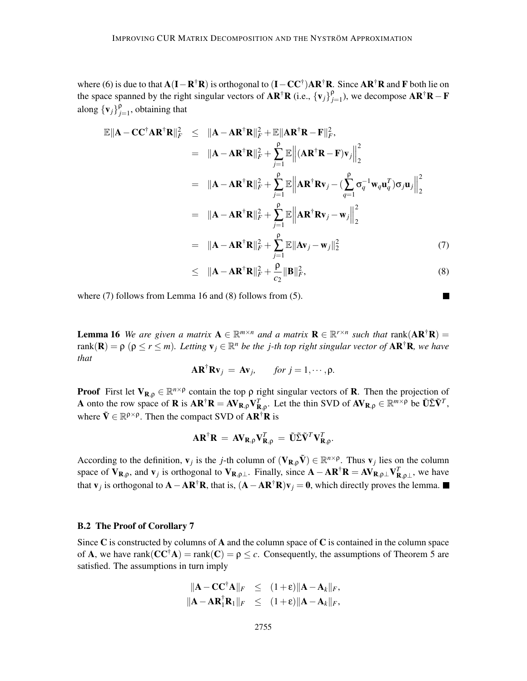where (6) is due to that  $A(I - R^{\dagger}R)$  is orthogonal to  $(I - CC^{\dagger})AR^{\dagger}R$ . Since  $AR^{\dagger}R$  and F both lie on the space spanned by the right singular vectors of  $\mathbf{AR}^\dagger \mathbf{R}$  (i.e.,  $\{\mathbf{v}_j\}_{j=1}^p$  $_{j=1}^{\rho}$ ), we decompose  $\mathbf{A}\mathbf{R}^{\dagger}\mathbf{R}-\mathbf{F}$ along  ${\bf \{v_j\}}^{\rho}_j$  $\int_{j=1}^{9}$ , obtaining that

$$
\mathbb{E} \|\mathbf{A} - \mathbf{C} \mathbf{C}^{\dagger} \mathbf{A} \mathbf{R}^{\dagger} \mathbf{R} \|_{F}^{2} \leq \|\mathbf{A} - \mathbf{A} \mathbf{R}^{\dagger} \mathbf{R} \|_{F}^{2} + \mathbb{E} \|\mathbf{A} \mathbf{R}^{\dagger} \mathbf{R} - \mathbf{F} \|_{F}^{2},
$$
\n
$$
= \|\mathbf{A} - \mathbf{A} \mathbf{R}^{\dagger} \mathbf{R} \|_{F}^{2} + \sum_{j=1}^{p} \mathbb{E} \left\| (\mathbf{A} \mathbf{R}^{\dagger} \mathbf{R} - \mathbf{F}) \mathbf{v}_{j} \right\|_{2}^{2}
$$
\n
$$
= \|\mathbf{A} - \mathbf{A} \mathbf{R}^{\dagger} \mathbf{R} \|_{F}^{2} + \sum_{j=1}^{p} \mathbb{E} \left\| \mathbf{A} \mathbf{R}^{\dagger} \mathbf{R} \mathbf{v}_{j} - (\sum_{q=1}^{p} \sigma_{q}^{-1} \mathbf{w}_{q} \mathbf{u}_{q}^{T}) \sigma_{j} \mathbf{u}_{j} \right\|_{2}^{2}
$$
\n
$$
= \|\mathbf{A} - \mathbf{A} \mathbf{R}^{\dagger} \mathbf{R} \|_{F}^{2} + \sum_{j=1}^{p} \mathbb{E} \left\| \mathbf{A} \mathbf{R}^{\dagger} \mathbf{R} \mathbf{v}_{j} - \mathbf{w}_{j} \right\|_{2}^{2}
$$
\n
$$
= \|\mathbf{A} - \mathbf{A} \mathbf{R}^{\dagger} \mathbf{R} \|_{F}^{2} + \sum_{j=1}^{p} \mathbb{E} \|\mathbf{A} \mathbf{v}_{j} - \mathbf{w}_{j} \|_{2}^{2}
$$
\n(7)

$$
\leq \|\mathbf{A} - \mathbf{A}\mathbf{R}^{\dagger}\mathbf{R}\|_{F}^{2} + \frac{\rho}{c_{2}}\|\mathbf{B}\|_{F}^{2},\tag{8}
$$

where (7) follows from Lemma 16 and (8) follows from (5).

**Lemma 16** We are given a matrix  $A \in \mathbb{R}^{m \times n}$  and a matrix  $R \in \mathbb{R}^{r \times n}$  such that  $rank(AR^{\dagger}R)$  =  $rank(\mathbf{R}) = \rho \ (\rho \le r \le m)$ . Letting  $\mathbf{v}_j \in \mathbb{R}^n$  be the *j*-th top right singular vector of  $\mathbf{AR}^{\dagger} \mathbf{R}$ , we have *that*

$$
\mathbf{AR}^{\dagger} \mathbf{R} \mathbf{v}_j = \mathbf{A} \mathbf{v}_j, \quad \text{for } j = 1, \cdots, \rho.
$$

**Proof** First let  $V_{R,\rho} \in \mathbb{R}^{n \times \rho}$  contain the top  $\rho$  right singular vectors of **R**. Then the projection of A onto the row space of **R** is  $AR^{\dagger}R = AV_{R,\rho}V_{R,\rho}^{T}$ . Let the thin SVD of  $AV_{R,\rho} \in \mathbb{R}^{m \times \rho}$  be  $\tilde{U}\tilde{\Sigma}\tilde{V}^{T}$ , where  $\tilde{\mathbf{V}} \in \mathbb{R}^{\rho \times \rho}$ . Then the compact SVD of  $\mathbf{AR}^{\dagger} \mathbf{R}$  is

$$
\mathbf{A}\mathbf{R}^{\dagger}\mathbf{R} = \mathbf{A}\mathbf{V}_{\mathbf{R},\rho}\mathbf{V}_{\mathbf{R},\rho}^T = \tilde{\mathbf{U}}\tilde{\Sigma}\tilde{\mathbf{V}}^T\mathbf{V}_{\mathbf{R},\rho}^T.
$$

According to the definition,  $\mathbf{v}_j$  is the *j*-th column of  $(\mathbf{V}_{\mathbf{R},\rho}\tilde{\mathbf{V}}) \in \mathbb{R}^{n \times \rho}$ . Thus  $\mathbf{v}_j$  lies on the column space of  $V_{R,\rho}$ , and  $v_j$  is orthogonal to  $V_{R,\rho\perp}$ . Finally, since  $A - AR^{\dagger}R = AV_{R,\rho\perp}V_{R,\rho\perp}^T$ , we have that  $\mathbf{v}_j$  is orthogonal to  $\mathbf{A} - \mathbf{A}\mathbf{R}^{\dagger}\mathbf{R}$ , that is,  $(\mathbf{A} - \mathbf{A}\mathbf{R}^{\dagger}\mathbf{R})\mathbf{v}_j = \mathbf{0}$ , which directly proves the lemma.

#### B.2 The Proof of Corollary 7

Since  $\bf{C}$  is constructed by columns of  $\bf{A}$  and the column space of  $\bf{C}$  is contained in the column space of **A**, we have rank( $CC^{\dagger}A$ ) = rank( $C$ ) =  $\rho \leq c$ . Consequently, the assumptions of Theorem 5 are satisfied. The assumptions in turn imply

$$
\|\mathbf{A} - \mathbf{C}\mathbf{C}^{\dagger}\mathbf{A}\|_{F} \leq (1+\varepsilon)\|\mathbf{A} - \mathbf{A}_{k}\|_{F},
$$
  

$$
\|\mathbf{A} - \mathbf{A}\mathbf{R}_{1}^{\dagger}\mathbf{R}_{1}\|_{F} \leq (1+\varepsilon)\|\mathbf{A} - \mathbf{A}_{k}\|_{F},
$$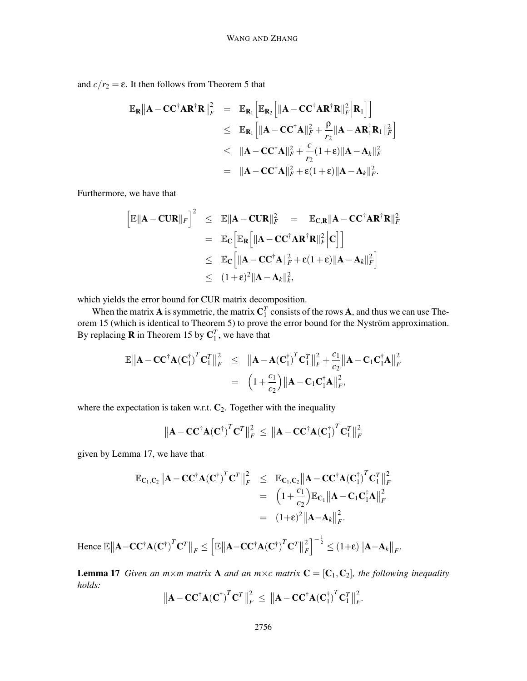and  $c/r_2 = \varepsilon$ . It then follows from Theorem 5 that

$$
\mathbb{E}_{\mathbf{R}} \|\mathbf{A} - \mathbf{C} \mathbf{C}^{\dagger} \mathbf{A} \mathbf{R}^{\dagger} \mathbf{R} \|_{F}^{2} = \mathbb{E}_{\mathbf{R}_{1}} \Big[ \mathbb{E}_{\mathbf{R}_{2}} \Big[ \| \mathbf{A} - \mathbf{C} \mathbf{C}^{\dagger} \mathbf{A} \mathbf{R}^{\dagger} \mathbf{R} \|_{F}^{2} \Big] \mathbf{R}_{1} \Big] \Big] \n\leq \mathbb{E}_{\mathbf{R}_{1}} \Big[ \| \mathbf{A} - \mathbf{C} \mathbf{C}^{\dagger} \mathbf{A} \|_{F}^{2} + \frac{\rho}{r_{2}} \| \mathbf{A} - \mathbf{A} \mathbf{R}_{1}^{\dagger} \mathbf{R}_{1} \|_{F}^{2} \Big] \n\leq \| \mathbf{A} - \mathbf{C} \mathbf{C}^{\dagger} \mathbf{A} \|_{F}^{2} + \frac{c}{r_{2}} (1 + \varepsilon) \| \mathbf{A} - \mathbf{A}_{k} \|_{F}^{2} \n= \| \mathbf{A} - \mathbf{C} \mathbf{C}^{\dagger} \mathbf{A} \|_{F}^{2} + \varepsilon (1 + \varepsilon) \| \mathbf{A} - \mathbf{A}_{k} \|_{F}^{2}.
$$

Furthermore, we have that

$$
\begin{aligned}\n\left[\mathbb{E} \|\mathbf{A} - \mathbf{C} \mathbf{U} \mathbf{R}\|_F\right]^2 &\leq \mathbb{E} \|\mathbf{A} - \mathbf{C} \mathbf{U} \mathbf{R}\|_F^2 = \mathbb{E}_{\mathbf{C},\mathbf{R}} \|\mathbf{A} - \mathbf{C} \mathbf{C}^\dagger \mathbf{A} \mathbf{R}^\dagger \mathbf{R}\|_F^2 \\
&= \mathbb{E}_{\mathbf{C}} \Big[\mathbb{E}_{\mathbf{R}} \Big[\|\mathbf{A} - \mathbf{C} \mathbf{C}^\dagger \mathbf{A} \mathbf{R}^\dagger \mathbf{R}\|_F^2 \Big| \mathbf{C}\Big]\Big] \\
&\leq \mathbb{E}_{\mathbf{C}} \Big[\|\mathbf{A} - \mathbf{C} \mathbf{C}^\dagger \mathbf{A}\|_F^2 + \varepsilon (1 + \varepsilon) \|\mathbf{A} - \mathbf{A}_k\|_F^2\Big] \\
&\leq (1 + \varepsilon)^2 \|\mathbf{A} - \mathbf{A}_k\|_k^2,\n\end{aligned}
$$

which yields the error bound for CUR matrix decomposition.

When the matrix **A** is symmetric, the matrix  $C_1^T$  consists of the rows **A**, and thus we can use Theorem 15 (which is identical to Theorem 5) to prove the error bound for the Nyström approximation. By replacing **R** in Theorem 15 by  $C_1^T$ , we have that

$$
\mathbb{E} \|\mathbf{A} - \mathbf{C} \mathbf{C}^{\dagger} \mathbf{A} (\mathbf{C}_{1}^{\dagger})^{T} \mathbf{C}_{1}^{T} \|_{F}^{2} \leq \|\mathbf{A} - \mathbf{A} (\mathbf{C}_{1}^{\dagger})^{T} \mathbf{C}_{1}^{T} \|_{F}^{2} + \frac{c_{1}}{c_{2}} \|\mathbf{A} - \mathbf{C}_{1} \mathbf{C}_{1}^{\dagger} \mathbf{A} \|_{F}^{2}
$$

$$
= (1 + \frac{c_{1}}{c_{2}}) \|\mathbf{A} - \mathbf{C}_{1} \mathbf{C}_{1}^{\dagger} \mathbf{A} \|_{F}^{2},
$$

where the expectation is taken w.r.t.  $C_2$ . Together with the inequality

$$
\left\| \mathbf{A} - \mathbf{C} \mathbf{C}^{\dagger} \mathbf{A} (\mathbf{C}^{\dagger})^T \mathbf{C}^T \right\|_F^2 \leq \left\| \mathbf{A} - \mathbf{C} \mathbf{C}^{\dagger} \mathbf{A} (\mathbf{C}^{\dagger})^T \mathbf{C}^T_1 \right\|_F^2
$$

given by Lemma 17, we have that

$$
\mathbb{E}_{\mathbf{C}_1,\mathbf{C}_2} ||\mathbf{A} - \mathbf{C} \mathbf{C}^{\dagger} \mathbf{A} (\mathbf{C}^{\dagger})^T \mathbf{C}^T ||_F^2 \leq \mathbb{E}_{\mathbf{C}_1,\mathbf{C}_2} ||\mathbf{A} - \mathbf{C} \mathbf{C}^{\dagger} \mathbf{A} (\mathbf{C}_1^{\dagger})^T \mathbf{C}_1^T ||_F^2
$$
  
\n
$$
= (1 + \frac{c_1}{c_2}) \mathbb{E}_{\mathbf{C}_1} ||\mathbf{A} - \mathbf{C}_1 \mathbf{C}_1^{\dagger} \mathbf{A} ||_F^2
$$
  
\n
$$
= (1 + \varepsilon)^2 ||\mathbf{A} - \mathbf{A}_k||_F^2.
$$

Hence  $\mathbb{E} \left\| \mathbf{A} - \mathbf{C} \mathbf{C}^{\dagger} \mathbf{A} (\mathbf{C}^{\dagger})^T \mathbf{C}^T \right\|_F \leq$  $\left[ \mathbb{E} \left\| \mathbf{A} {-}\mathbf{C} \mathbf{C}^{\dagger} \mathbf{A} \left( \mathbf{C}^{\dagger} \right)^{T} \mathbf{C}^{T} \right\| \right]$ 2 *F*  $\Big]^{-\frac{1}{2}} \leq (1+\varepsilon) \big\| \mathbf{A} - \mathbf{A}_k \big\|_F.$ 

**Lemma 17** *Given an m×m matrix* **A** *and an m×c matrix*  $\mathbf{C} = [\mathbf{C}_1, \mathbf{C}_2]$ *, the following inequality holds:*

$$
\|\mathbf{A}-\mathbf{C}\mathbf{C}^{\dagger}\mathbf{A}(\mathbf{C}^{\dagger})^T\mathbf{C}^T\|_F^2 \leq \|\mathbf{A}-\mathbf{C}\mathbf{C}^{\dagger}\mathbf{A}(\mathbf{C}_1^{\dagger})^T\mathbf{C}_1^T\|_F^2.
$$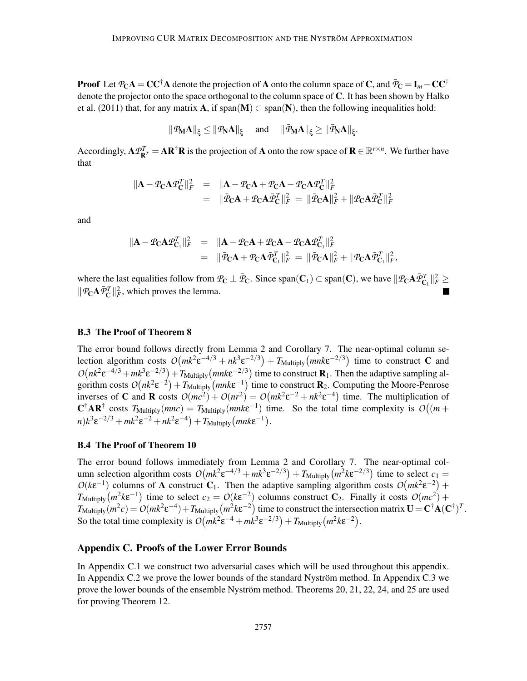**Proof** Let  $\mathcal{P}_C A = CC^{\dagger} A$  denote the projection of A onto the column space of C, and  $\bar{\mathcal{P}}_C = I_m - CC^{\dagger}$ denote the projector onto the space orthogonal to the column space of C. It has been shown by Halko et al. (2011) that, for any matrix **A**, if span(**M**)  $\subset$  span(**N**), then the following inequalities hold:

$$
\|\textbf{P}_{\!M}\textbf{A}\|_{\xi}\leq \|\textbf{P}_{\!N}\textbf{A}\|_{\xi}\quad \text{ and }\quad \|\bar{\textbf{P}}_{\!M}\textbf{A}\|_{\xi}\geq \|\bar{\textbf{P}}_{\!N}\textbf{A}\|_{\xi}.
$$

Accordingly,  $\mathbf{A}\mathcal{P}_{\mathbf{R}^T}^T = \mathbf{A}\mathbf{R}^\dagger\mathbf{R}$  is the projection of **A** onto the row space of  $\mathbf{R} \in \mathbb{R}^{r \times n}$ . We further have that

$$
\|\mathbf{A} - \mathcal{P}_{\mathbf{C}}\mathbf{A}\mathcal{P}_{\mathbf{C}}^T\|_F^2 = \|\mathbf{A} - \mathcal{P}_{\mathbf{C}}\mathbf{A} + \mathcal{P}_{\mathbf{C}}\mathbf{A} - \mathcal{P}_{\mathbf{C}}\mathbf{A}\mathcal{P}_{\mathbf{C}}^T\|_F^2
$$
  
= 
$$
\|\bar{\mathcal{P}}_{\mathbf{C}}\mathbf{A} + \mathcal{P}_{\mathbf{C}}\mathbf{A}\bar{\mathcal{P}}_{\mathbf{C}}^T\|_F^2 = \|\bar{\mathcal{P}}_{\mathbf{C}}\mathbf{A}\|_F^2 + \|\mathcal{P}_{\mathbf{C}}\mathbf{A}\bar{\mathcal{P}}_{\mathbf{C}}^T\|_F^2
$$

and

$$
\begin{array}{rcl}\n\|\mathbf{A} - \mathcal{P}_{\mathbf{C}}\mathbf{A}\mathcal{P}_{\mathbf{C}_1}^T\|_F^2 & = & \|\mathbf{A} - \mathcal{P}_{\mathbf{C}}\mathbf{A} + \mathcal{P}_{\mathbf{C}}\mathbf{A} - \mathcal{P}_{\mathbf{C}}\mathbf{A}\mathcal{P}_{\mathbf{C}_1}^T\|_F^2 \\
& = & \|\bar{\mathcal{P}}_{\mathbf{C}}\mathbf{A} + \mathcal{P}_{\mathbf{C}}\mathbf{A}\bar{\mathcal{P}}_{\mathbf{C}_1}^T\|_F^2 = \|\bar{\mathcal{P}}_{\mathbf{C}}\mathbf{A}\|_F^2 + \|\mathcal{P}_{\mathbf{C}}\mathbf{A}\bar{\mathcal{P}}_{\mathbf{C}_1}^T\|_F^2,\n\end{array}
$$

where the last equalities follow from  $P_{\mathbf{C}} \perp \bar{P}_{\mathbf{C}}$ . Since span( $\mathbf{C}_1$ )  $\subset$  span( $\mathbf{C}$ ), we have  $\|\mathcal{P}_{\mathbf{C}} \mathbf{A} \bar{\mathcal{P}}_{\mathbf{C}_1}^T\|_F^2 \geq$  $||\mathcal{P}_{\mathbf{C}} \mathbf{A} \bar{\mathcal{P}}_{\mathbf{C}}^T||_F^2$ , which proves the lemma.

#### B.3 The Proof of Theorem 8

The error bound follows directly from Lemma 2 and Corollary 7. The near-optimal column selection algorithm costs  $O(mk^2 \varepsilon^{-4/3} + nk^3 \varepsilon^{-2/3}) + T_{\text{Multiply}}(mnk\varepsilon^{-2/3})$  time to construct C and  $O(nk^2 \epsilon^{-4/3} + mk^3 \epsilon^{-2/3}) + T_{\text{Multiply}}(mnk\epsilon^{-2/3})$  time to construct **R**<sub>1</sub>. Then the adaptive sampling algorithm costs  $O(nk^2 \epsilon^{-2}) + T_{\text{Multiply}}(mnk\epsilon^{-1})$  time to construct  $\mathbf{R}_2$ . Computing the Moore-Penrose inverses of C and R costs  $O(mc^2) + O(nr^2) = O(mk^2\varepsilon^{-2} + nk^2\varepsilon^{-4})$  time. The multiplication of  $\mathbf{C}^{\dagger} \mathbf{A} \mathbf{R}^{\dagger}$  costs  $T_{\text{Multiply}}(mnc) = T_{\text{Multiply}}(mnk\epsilon^{-1})$  time. So the total time complexity is  $O((m +$  $m)k^3 \varepsilon^{-2/3} + mk^2 \varepsilon^{-2} + nk^2 \varepsilon^{-4} + T_{\text{Multiply}}(mnk\varepsilon^{-1}).$ 

#### B.4 The Proof of Theorem 10

The error bound follows immediately from Lemma 2 and Corollary 7. The near-optimal column selection algorithm costs  $O(mk^2 \varepsilon^{-4/3} + mk^3 \varepsilon^{-2/3}) + T_{\text{Multiply}}(m^2 k \varepsilon^{-2/3})$  time to select  $c_1 =$  $O(k\epsilon^{-1})$  columns of A construct  $C_1$ . Then the adaptive sampling algorithm costs  $O(mk^2\epsilon^{-2})$  +  $T_{\text{Multiply}}(m^2 k \varepsilon^{-1})$  time to select  $c_2 = O(k \varepsilon^{-2})$  columns construct  $C_2$ . Finally it costs  $O(mc^2)$  +  $T_{\text{Multiply}}(m^2c) = O(mk^2\varepsilon^{-4}) + T_{\text{Multiply}}(m^2k\varepsilon^{-2})$  time to construct the intersection matrix  $\mathbf{U} = \mathbf{C}^\dagger \mathbf{A}(\mathbf{C}^\dagger)^T$ . So the total time complexity is  $O(mk^2 \varepsilon^{-4} + mk^3 \varepsilon^{-2/3}) + T_{\text{Multiply}}(m^2 k \varepsilon^{-2})$ .

# Appendix C. Proofs of the Lower Error Bounds

In Appendix C.1 we construct two adversarial cases which will be used throughout this appendix. In Appendix C.2 we prove the lower bounds of the standard Nyström method. In Appendix C.3 we prove the lower bounds of the ensemble Nyström method. Theorems 20, 21, 22, 24, and 25 are used for proving Theorem 12.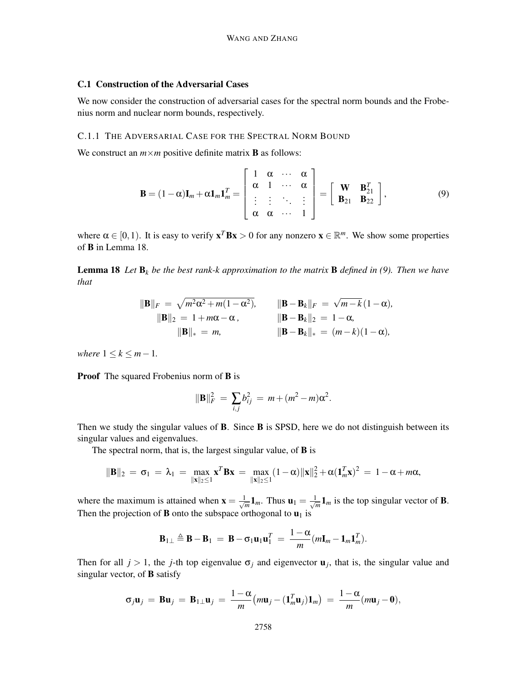# C.1 Construction of the Adversarial Cases

We now consider the construction of adversarial cases for the spectral norm bounds and the Frobenius norm and nuclear norm bounds, respectively.

#### C.1.1 THE ADVERSARIAL CASE FOR THE SPECTRAL NORM BOUND

We construct an  $m \times m$  positive definite matrix **B** as follows:

$$
\mathbf{B} = (1 - \alpha)\mathbf{I}_m + \alpha \mathbf{1}_m \mathbf{1}_m^T = \begin{bmatrix} 1 & \alpha & \cdots & \alpha \\ \alpha & 1 & \cdots & \alpha \\ \vdots & \vdots & \ddots & \vdots \\ \alpha & \alpha & \cdots & 1 \end{bmatrix} = \begin{bmatrix} \mathbf{W} & \mathbf{B}_{21}^T \\ \mathbf{B}_{21} & \mathbf{B}_{22} \end{bmatrix},
$$
(9)

where  $\alpha \in [0, 1)$ . It is easy to verify  $\mathbf{x}^T \mathbf{B} \mathbf{x} > 0$  for any nonzero  $\mathbf{x} \in \mathbb{R}^m$ . We show some properties of B in Lemma 18.

**Lemma 18** Let  $\mathbf{B}_k$  be the best rank-k approximation to the matrix **B** defined in (9). Then we have *that*

$$
\|\mathbf{B}\|_{F} = \sqrt{m^2 \alpha^2 + m(1 - \alpha^2)}, \qquad \|\mathbf{B} - \mathbf{B}_k\|_{F} = \sqrt{m - k}(1 - \alpha),
$$
  

$$
\|\mathbf{B}\|_{2} = 1 + m\alpha - \alpha, \qquad \|\mathbf{B} - \mathbf{B}_k\|_{2} = 1 - \alpha,
$$
  

$$
\|\mathbf{B}\|_{*} = m, \qquad \|\mathbf{B} - \mathbf{B}_k\|_{*} = (m - k)(1 - \alpha),
$$

*where*  $1 \leq k \leq m-1$ .

**Proof** The squared Frobenius norm of **B** is

$$
\|\mathbf{B}\|_F^2 = \sum_{i,j} b_{ij}^2 = m + (m^2 - m)\alpha^2.
$$

Then we study the singular values of  $\bf{B}$ . Since  $\bf{B}$  is SPSD, here we do not distinguish between its singular values and eigenvalues.

The spectral norm, that is, the largest singular value, of **B** is

$$
\|\bm{B}\|_2\,=\,\sigma_1\,=\,\lambda_1\,=\,\max_{\|\bm{x}\|_2\leq 1}\bm{x}^T\bm{B}\bm{x}\,=\,\max_{\|\bm{x}\|_2\leq 1}(1-\alpha)\|\bm{x}\|_2^2+\alpha(\bm{1}_m^T\bm{x})^2\,=\,1-\alpha+m\alpha,
$$

where the maximum is attained when  $\mathbf{x} = \frac{1}{\sqrt{2}}$  $\frac{1}{m}$ **1**<sub>*m*</sub>. Thus **u**<sub>1</sub> =  $\frac{1}{\sqrt{n}}$  $\frac{1}{m}$ **1**<sub>*m*</sub> is the top singular vector of **B**. Then the projection of **B** onto the subspace orthogonal to  $\mathbf{u}_1$  is

$$
\mathbf{B}_{1\perp} \triangleq \mathbf{B} - \mathbf{B}_1 = \mathbf{B} - \sigma_1 \mathbf{u}_1 \mathbf{u}_1^T = \frac{1 - \alpha}{m} (m \mathbf{I}_m - \mathbf{1}_m \mathbf{1}_m^T).
$$

Then for all  $j > 1$ , the *j*-th top eigenvalue  $\sigma_j$  and eigenvector  $\mathbf{u}_j$ , that is, the singular value and singular vector, of B satisfy

$$
\sigma_j \mathbf{u}_j = \mathbf{B} \mathbf{u}_j = \mathbf{B}_{1\perp} \mathbf{u}_j = \frac{1-\alpha}{m} \big( m \mathbf{u}_j - (\mathbf{1}_m^T \mathbf{u}_j) \mathbf{1}_m \big) = \frac{1-\alpha}{m} (m \mathbf{u}_j - \mathbf{0}),
$$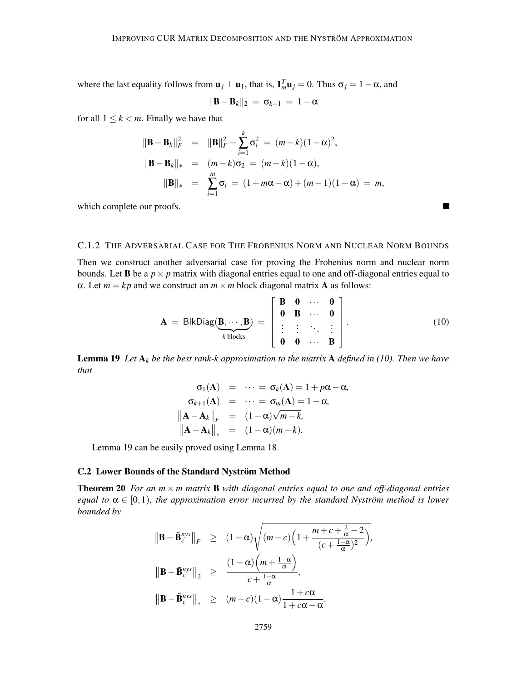where the last equality follows from  $\mathbf{u}_j \perp \mathbf{u}_1$ , that is,  $\mathbf{1}_m^T \mathbf{u}_j = 0$ . Thus  $\sigma_j = 1 - \alpha$ , and

$$
\|\mathbf{B}-\mathbf{B}_k\|_2 = \sigma_{k+1} = 1-\alpha
$$

for all  $1 \leq k < m$ . Finally we have that

$$
\|\mathbf{B} - \mathbf{B}_k\|_F^2 = \|\mathbf{B}\|_F^2 - \sum_{i=1}^k \sigma_i^2 = (m - k)(1 - \alpha)^2,
$$
  

$$
\|\mathbf{B} - \mathbf{B}_k\|_* = (m - k)\sigma_2 = (m - k)(1 - \alpha),
$$
  

$$
\|\mathbf{B}\|_* = \sum_{i=1}^m \sigma_i = (1 + m\alpha - \alpha) + (m - 1)(1 - \alpha) = m,
$$

which complete our proofs.

# C.1.2 THE ADVERSARIAL CASE FOR THE FROBENIUS NORM AND NUCLEAR NORM BOUNDS

Then we construct another adversarial case for proving the Frobenius norm and nuclear norm bounds. Let **B** be a  $p \times p$  matrix with diagonal entries equal to one and off-diagonal entries equal to α. Let  $m = kp$  and we construct an  $m \times m$  block diagonal matrix **A** as follows:

$$
\mathbf{A} = \text{BlkDiag}(\underbrace{\mathbf{B}, \cdots, \mathbf{B}}_{k \text{ blocks}}) = \begin{bmatrix} \mathbf{B} & \mathbf{0} & \cdots & \mathbf{0} \\ \mathbf{0} & \mathbf{B} & \cdots & \mathbf{0} \\ \vdots & \vdots & \ddots & \vdots \\ \mathbf{0} & \mathbf{0} & \cdots & \mathbf{B} \end{bmatrix} .
$$
 (10)

**Lemma 19** Let  $A_k$  be the best rank-k approximation to the matrix  $A$  defined in (10). Then we have *that*

$$
\begin{aligned}\n\sigma_1(\mathbf{A}) &= \cdots = \sigma_k(\mathbf{A}) = 1 + p\alpha - \alpha, \\
\sigma_{k+1}(\mathbf{A}) &= \cdots = \sigma_m(\mathbf{A}) = 1 - \alpha, \\
\|\mathbf{A} - \mathbf{A}_k\|_F &= (1 - \alpha)\sqrt{m - k}, \\
\|\mathbf{A} - \mathbf{A}_k\|_* &= (1 - \alpha)(m - k).\n\end{aligned}
$$

Lemma 19 can be easily proved using Lemma 18.

#### C.2 Lower Bounds of the Standard Nyström Method

**Theorem 20** For an  $m \times m$  matrix **B** with diagonal entries equal to one and off-diagonal entries *equal to*  $\alpha \in [0,1)$ *, the approximation error incurred by the standard Nyström method is lower bounded by*

$$
\|\mathbf{B} - \tilde{\mathbf{B}}_c^{nys}\|_F \ge (1 - \alpha) \sqrt{(m - c) \left(1 + \frac{m + c + \frac{2}{\alpha} - 2}{(c + \frac{1 - \alpha}{\alpha})^2}\right)},
$$
  

$$
\|\mathbf{B} - \tilde{\mathbf{B}}_c^{nys}\|_2 \ge \frac{(1 - \alpha) \left(m + \frac{1 - \alpha}{\alpha}\right)}{c + \frac{1 - \alpha}{\alpha}},
$$
  

$$
\|\mathbf{B} - \tilde{\mathbf{B}}_c^{nys}\|_* \ge (m - c)(1 - \alpha) \frac{1 + c\alpha}{1 + c\alpha - \alpha}.
$$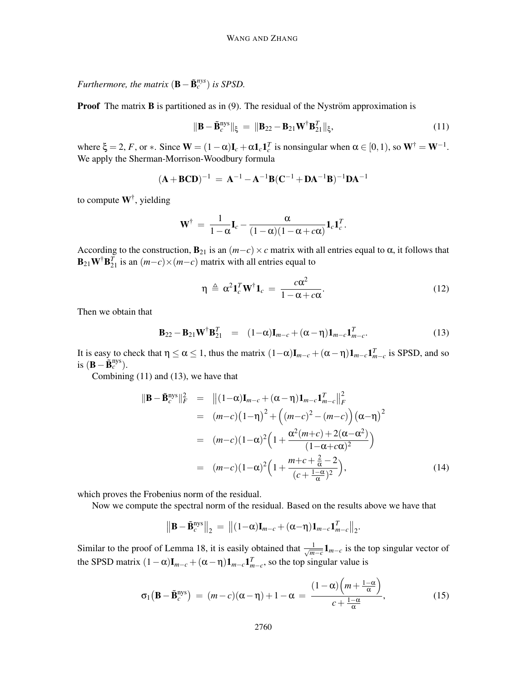*Furthermore, the matrix*  $(\mathbf{B} - \tilde{\mathbf{B}}_c^{nys})$  *is SPSD.* 

**Proof** The matrix **B** is partitioned as in  $(9)$ . The residual of the Nyström approximation is

$$
\|\mathbf{B} - \tilde{\mathbf{B}}_c^{\text{nys}}\|_{\xi} = \|\mathbf{B}_{22} - \mathbf{B}_{21}\mathbf{W}^{\dagger} \mathbf{B}_{21}^T\|_{\xi},\tag{11}
$$

where  $\xi = 2$ , *F*, or  $*$ . Since  $\mathbf{W} = (1 - \alpha)\mathbf{I}_c + \alpha \mathbf{1}_c \mathbf{1}_c^T$  is nonsingular when  $\alpha \in [0, 1)$ , so  $\mathbf{W}^{\dagger} = \mathbf{W}^{-1}$ . We apply the Sherman-Morrison-Woodbury formula

$$
(\mathbf{A} + \mathbf{BCD})^{-1} = \mathbf{A}^{-1} - \mathbf{A}^{-1} \mathbf{B} (\mathbf{C}^{-1} + \mathbf{DA}^{-1} \mathbf{B})^{-1} \mathbf{DA}^{-1}
$$

to compute  $W^{\dagger}$ , yielding

$$
\mathbf{W}^{\dagger} = \frac{1}{1-\alpha}\mathbf{I}_c - \frac{\alpha}{(1-\alpha)(1-\alpha+c\alpha)}\mathbf{1}_c\mathbf{1}_c^T.
$$

According to the construction,  $\mathbf{B}_{21}$  is an  $(m-c) \times c$  matrix with all entries equal to  $\alpha$ , it follows that  $\mathbf{B}_{21}\mathbf{W}^{\dagger}\mathbf{B}_{21}^T$  is an  $(m-c)\times(m-c)$  matrix with all entries equal to

$$
\eta \triangleq \alpha^2 \mathbf{1}_c^T \mathbf{W}^\dagger \mathbf{1}_c = \frac{c \alpha^2}{1 - \alpha + c \alpha}.
$$
 (12)

Then we obtain that

$$
\mathbf{B}_{22} - \mathbf{B}_{21} \mathbf{W}^{\dagger} \mathbf{B}_{21}^T = (1 - \alpha) \mathbf{I}_{m-c} + (\alpha - \eta) \mathbf{1}_{m-c} \mathbf{1}_{m-c}^T.
$$
 (13)

It is easy to check that  $\eta \le \alpha \le 1$ , thus the matrix  $(1-\alpha)\mathbf{I}_{m-c} + (\alpha-\eta)\mathbf{1}_{m-c}\mathbf{1}_{m-c}^T$  is SPSD, and so is  $(\mathbf{B} - \tilde{\mathbf{B}}_c^{\text{nys}})$ .

Combining (11) and (13), we have that

$$
\|\mathbf{B} - \tilde{\mathbf{B}}_c^{\text{nys}}\|_F^2 = \| (1-\alpha)\mathbf{I}_{m-c} + (\alpha - \eta)\mathbf{1}_{m-c}\mathbf{1}_{m-c}^T \|_F^2
$$
  
\n
$$
= (m-c)(1-\eta)^2 + \left( (m-c)^2 - (m-c) \right) (\alpha - \eta)^2
$$
  
\n
$$
= (m-c)(1-\alpha)^2 \left( 1 + \frac{\alpha^2(m+c) + 2(\alpha - \alpha^2)}{(1-\alpha + c\alpha)^2} \right)
$$
  
\n
$$
= (m-c)(1-\alpha)^2 \left( 1 + \frac{m+c + \frac{2}{\alpha} - 2}{(c + \frac{1-\alpha}{\alpha})^2} \right),
$$
 (14)

which proves the Frobenius norm of the residual.

Now we compute the spectral norm of the residual. Based on the results above we have that

$$
\left\|\mathbf{B}-\tilde{\mathbf{B}}_c^{\text{nys}}\right\|_2 = \left\|(1-\alpha)\mathbf{I}_{m-c}+(\alpha-\eta)\mathbf{1}_{m-c}\mathbf{1}_{m-c}^T\right\|_2.
$$

Similar to the proof of Lemma 18, it is easily obtained that  $\frac{1}{\sqrt{m}}$  $\frac{1}{m-c}$ **1**<sub>*m*−*c*</sub> is the top singular vector of the SPSD matrix  $(1 - \alpha)\mathbf{I}_{m-c} + (\alpha - \eta)\mathbf{1}_{m-c}\mathbf{1}_{m-c}^T$ , so the top singular value is

$$
\sigma_1(\mathbf{B} - \tilde{\mathbf{B}}_c^{\text{nys}}) = (m - c)(\alpha - \eta) + 1 - \alpha = \frac{(1 - \alpha)\left(m + \frac{1 - \alpha}{\alpha}\right)}{c + \frac{1 - \alpha}{\alpha}},\tag{15}
$$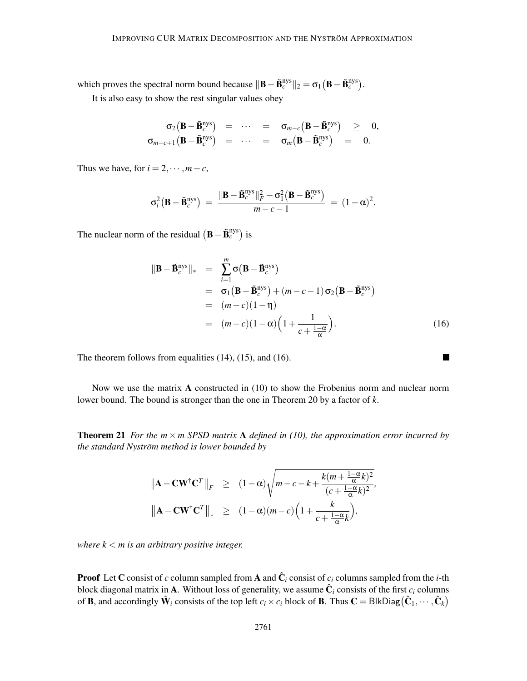which proves the spectral norm bound because  $\|\mathbf{B} - \tilde{\mathbf{B}}_c^{\text{nys}}\|_2 = \sigma_1 (\mathbf{B} - \tilde{\mathbf{B}}_c^{\text{nys}}).$ 

It is also easy to show the rest singular values obey

$$
\begin{array}{rcl}\n\sigma_2(\mathbf{B}-\tilde{\mathbf{B}}_c^{\text{nys}}) & = & \cdots & = & \sigma_{m-c}(\mathbf{B}-\tilde{\mathbf{B}}_c^{\text{nys}}) & \geq & 0, \\
\sigma_{m-c+1}(\mathbf{B}-\tilde{\mathbf{B}}_c^{\text{nys}}) & = & \cdots & = & \sigma_m(\mathbf{B}-\tilde{\mathbf{B}}_c^{\text{nys}}) & = & 0.\n\end{array}
$$

Thus we have, for  $i = 2, \dots, m - c$ ,

$$
\sigma_i^2(\mathbf{B}-\tilde{\mathbf{B}}_c^{\text{nys}}) = \frac{\|\mathbf{B}-\tilde{\mathbf{B}}_c^{\text{nys}}\|_F^2 - \sigma_1^2(\mathbf{B}-\tilde{\mathbf{B}}_c^{\text{nys}})}{m-c-1} = (1-\alpha)^2.
$$

The nuclear norm of the residual  $(B - \tilde{B}_c^{nys})$  is

$$
\|\mathbf{B} - \tilde{\mathbf{B}}_c^{\text{nys}}\|_{*} = \sum_{i=1}^{m} \sigma (\mathbf{B} - \tilde{\mathbf{B}}_c^{\text{nys}})
$$
  
=  $\sigma_1 (\mathbf{B} - \tilde{\mathbf{B}}_c^{\text{nys}}) + (m - c - 1) \sigma_2 (\mathbf{B} - \tilde{\mathbf{B}}_c^{\text{nys}})$   
=  $(m - c)(1 - \eta)$   
=  $(m - c)(1 - \alpha) \left(1 + \frac{1}{c + \frac{1 - \alpha}{\alpha}}\right).$  (16)

 $\blacksquare$ 

The theorem follows from equalities (14), (15), and (16).

Now we use the matrix A constructed in (10) to show the Frobenius norm and nuclear norm lower bound. The bound is stronger than the one in Theorem 20 by a factor of *k*.

**Theorem 21** *For the m*  $\times$  *m SPSD matrix* A *defined in (10), the approximation error incurred by the standard Nyström method is lower bounded by* 

$$
\|\mathbf{A} - \mathbf{C} \mathbf{W}^{\dagger} \mathbf{C}^{T}\|_{F} \geq (1 - \alpha) \sqrt{m - c - k + \frac{k(m + \frac{1 - \alpha}{\alpha}k)^{2}}{(c + \frac{1 - \alpha}{\alpha}k)^{2}}},
$$
  

$$
\|\mathbf{A} - \mathbf{C} \mathbf{W}^{\dagger} \mathbf{C}^{T}\|_{*} \geq (1 - \alpha)(m - c) \left(1 + \frac{k}{c + \frac{1 - \alpha}{\alpha}k}\right),
$$

*where k* < *m is an arbitrary positive integer.*

**Proof** Let C consist of *c* column sampled from A and  $\hat{\mathbf{C}}_i$  consist of  $c_i$  columns sampled from the *i*-th block diagonal matrix in **A**. Without loss of generality, we assume  $\hat{\mathbf{C}}_i$  consists of the first  $c_i$  columns of **B**, and accordingly  $\hat{\mathbf{W}}_i$  consists of the top left  $c_i \times c_i$  block of **B**. Thus  $\mathbf{C} = \text{BlkDiag}(\hat{\mathbf{C}}_1, \dots, \hat{\mathbf{C}}_k)$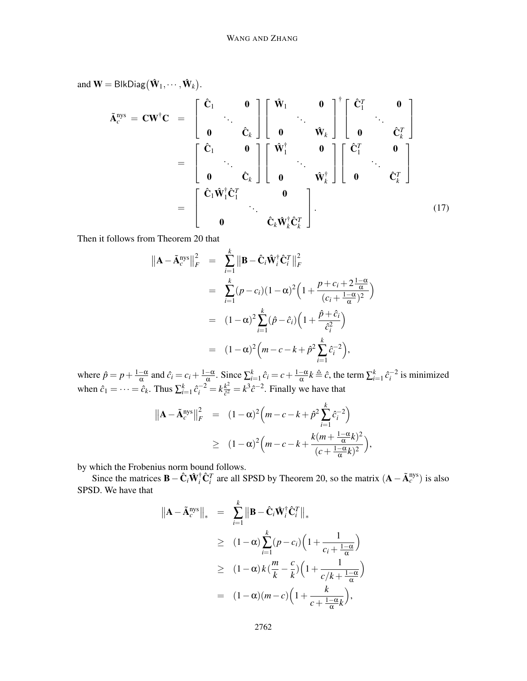and 
$$
\mathbf{W} = \text{BlkDiag}(\hat{\mathbf{W}}_1, \dots, \hat{\mathbf{W}}_k).
$$
  
\n
$$
\tilde{\mathbf{A}}_c^{\text{nys}} = \mathbf{C}\mathbf{W}^{\dagger}\mathbf{C} = \begin{bmatrix} \hat{\mathbf{C}}_1 & \mathbf{0} \\ \mathbf{0} & \hat{\mathbf{C}}_k \end{bmatrix} \begin{bmatrix} \hat{\mathbf{W}}_1 & \mathbf{0} \\ \mathbf{0} & \hat{\mathbf{W}}_k \end{bmatrix}^{\dagger} \begin{bmatrix} \hat{\mathbf{C}}_1^T & \mathbf{0} \\ \mathbf{0} & \hat{\mathbf{C}}_k^T \end{bmatrix}
$$
\n
$$
= \begin{bmatrix} \hat{\mathbf{C}}_1 & \mathbf{0} \\ \mathbf{0} & \hat{\mathbf{C}}_k \end{bmatrix} \begin{bmatrix} \hat{\mathbf{W}}_1^{\dagger} & \mathbf{0} \\ \mathbf{0} & \hat{\mathbf{W}}_k^{\dagger} \end{bmatrix} \begin{bmatrix} \hat{\mathbf{C}}_1^T & \mathbf{0} \\ \mathbf{0} & \hat{\mathbf{C}}_k^T \end{bmatrix}
$$
\n
$$
= \begin{bmatrix} \hat{\mathbf{C}}_1 \hat{\mathbf{W}}_1^{\dagger} \hat{\mathbf{C}}_1^T & \mathbf{0} \\ \mathbf{0} & \hat{\mathbf{C}}_k \hat{\mathbf{W}}_k^{\dagger} \hat{\mathbf{C}}_k^T \end{bmatrix} .
$$
\n(17)

Then it follows from Theorem 20 that

$$
\|\mathbf{A} - \tilde{\mathbf{A}}_c^{\text{nys}}\|_F^2 = \sum_{i=1}^k \|\mathbf{B} - \hat{\mathbf{C}}_i \hat{\mathbf{W}}_i^{\dagger} \hat{\mathbf{C}}_i^T\|_F^2
$$
  
\n
$$
= \sum_{i=1}^k (p - c_i)(1 - \alpha)^2 \left(1 + \frac{p + c_i + 2\frac{1 - \alpha}{\alpha}}{(c_i + \frac{1 - \alpha}{\alpha})^2}\right)
$$
  
\n
$$
= (1 - \alpha)^2 \sum_{i=1}^k (\hat{p} - \hat{c}_i) \left(1 + \frac{\hat{p} + \hat{c}_i}{\hat{c}_i^2}\right)
$$
  
\n
$$
= (1 - \alpha)^2 \left(m - c - k + \hat{p}^2 \sum_{i=1}^k \hat{c}_i^{-2}\right),
$$

where  $\hat{p} = p + \frac{1-\alpha}{\alpha}$  and  $\hat{c}_i = c_i + \frac{1-\alpha}{\alpha}$ . Since  $\sum_{i=1}^{k} \hat{c}_i = c + \frac{1-\alpha}{\alpha}k \triangleq \hat{c}$ , the term  $\sum_{i=1}^{k} \hat{c}_i^{-2}$  is minimized when  $\hat{c}_1 = \cdots = \hat{c}_k$ . Thus  $\sum_{i=1}^k \hat{c}_i^{-2} = k \frac{k^2}{\hat{c}^2}$  $\frac{k^2}{c^2} = k^3 \hat{c}^{-2}$ . Finally we have that

$$
\|\mathbf{A} - \tilde{\mathbf{A}}_c^{\text{nys}}\|_F^2 = (1 - \alpha)^2 \left(m - c - k + \hat{p}^2 \sum_{i=1}^k \hat{c}_i^{-2}\right)
$$
  
 
$$
\geq (1 - \alpha)^2 \left(m - c - k + \frac{k(m + \frac{1 - \alpha}{\alpha}k)^2}{(c + \frac{1 - \alpha}{\alpha}k)^2}\right),
$$

by which the Frobenius norm bound follows.

Since the matrices  $\mathbf{B} - \hat{\mathbf{C}}_i \hat{\mathbf{W}}_i^{\dagger} \hat{\mathbf{C}}_i^T$  are all SPSD by Theorem 20, so the matrix  $(\mathbf{A} - \tilde{\mathbf{A}}_c^{\text{nys}})$  is also SPSD. We have that

$$
\|\mathbf{A} - \tilde{\mathbf{A}}_c^{\text{nys}}\|_{*} = \sum_{i=1}^{k} \|\mathbf{B} - \hat{\mathbf{C}}_i \hat{\mathbf{W}}_i^{\dagger} \hat{\mathbf{C}}_i^T\|_{*}
$$
  
\n
$$
\geq (1 - \alpha) \sum_{i=1}^{k} (p - c_i) \left(1 + \frac{1}{c_i + \frac{1 - \alpha}{\alpha}}\right)
$$
  
\n
$$
\geq (1 - \alpha) k \left(\frac{m}{k} - \frac{c}{k}\right) \left(1 + \frac{1}{c/k + \frac{1 - \alpha}{\alpha}}\right)
$$
  
\n
$$
= (1 - \alpha)(m - c) \left(1 + \frac{k}{c + \frac{1 - \alpha}{\alpha}k}\right),
$$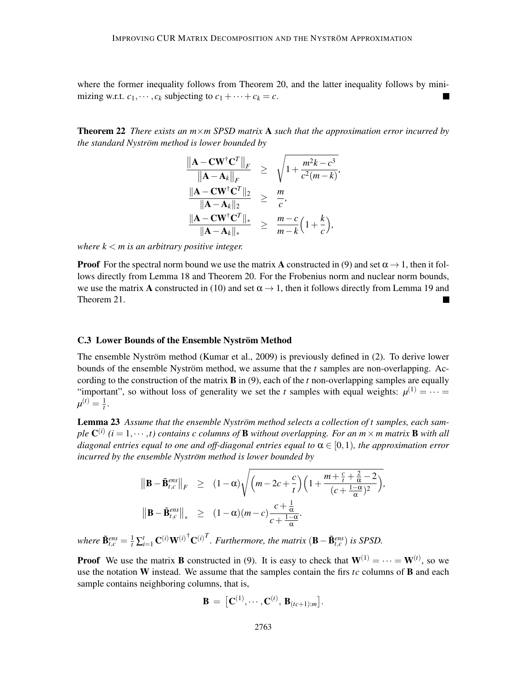where the former inequality follows from Theorem 20, and the latter inequality follows by minimizing w.r.t.  $c_1, \dots, c_k$  subjecting to  $c_1 + \dots + c_k = c$ .

Theorem 22 *There exists an m*×*m SPSD matrix* A *such that the approximation error incurred by the standard Nyström method is lower bounded by* 

*,*

$$
\frac{\|\mathbf{A} - \mathbf{C}\mathbf{W}^{\dagger}\mathbf{C}^T\|_F}{\|\mathbf{A} - \mathbf{A}_k\|_F} \ge \sqrt{1 + \frac{m^2k - c^3}{c^2(m - k)}}
$$
  

$$
\frac{\|\mathbf{A} - \mathbf{C}\mathbf{W}^{\dagger}\mathbf{C}^T\|_2}{\|\mathbf{A} - \mathbf{A}_k\|_2} \ge \frac{m}{c},
$$
  

$$
\frac{\|\mathbf{A} - \mathbf{C}\mathbf{W}^{\dagger}\mathbf{C}^T\|_*}{\|\mathbf{A} - \mathbf{A}_k\|_*} \ge \frac{m - c}{m - k}\Big(1 + \frac{k}{c}\Big),
$$

*where k* < *m is an arbitrary positive integer.*

**Proof** For the spectral norm bound we use the matrix **A** constructed in (9) and set  $\alpha \rightarrow 1$ , then it follows directly from Lemma 18 and Theorem 20. For the Frobenius norm and nuclear norm bounds, we use the matrix A constructed in (10) and set  $\alpha \rightarrow 1$ , then it follows directly from Lemma 19 and Theorem 21.

#### C.3 Lower Bounds of the Ensemble Nyström Method

The ensemble Nyström method (Kumar et al.,  $2009$ ) is previously defined in  $(2)$ . To derive lower bounds of the ensemble Nyström method, we assume that the  $t$  samples are non-overlapping. According to the construction of the matrix B in (9), each of the *t* non-overlapping samples are equally "important", so without loss of generality we set the *t* samples with equal weights:  $\mu^{(1)} = \cdots =$  $\mu^{(t)} = \frac{1}{t}$  $\frac{1}{t}$ .

Lemma 23 *Assume that the ensemble Nyström method selects a collection of t samples, each sam* $p$ le  $\mathbf{C}^{(i)}$  ( $i = 1, \cdots, t$ ) contains c columns of **B** without overlapping. For an  $m \times m$  matrix **B** with all *diagonal entries equal to one and off-diagonal entries equal to*  $\alpha \in [0,1)$ *, the approximation error incurred by the ensemble Nyström method is lower bounded by* 

$$
\|\mathbf{B} - \tilde{\mathbf{B}}_{t,c}^{ens}\|_{F} \geq (1 - \alpha) \sqrt{\left(m - 2c + \frac{c}{t}\right) \left(1 + \frac{m + \frac{c}{t} + \frac{2}{\alpha} - 2}{(c + \frac{1 - \alpha}{\alpha})^2}\right)},
$$
  

$$
\|\mathbf{B} - \tilde{\mathbf{B}}_{t,c}^{ens}\|_{*} \geq (1 - \alpha)(m - c) \frac{c + \frac{1}{\alpha}}{c + \frac{1 - \alpha}{\alpha}}.
$$

*where*  $\tilde{\mathbf{B}}_{t,c}^{ens} = \frac{1}{t} \sum_{i=1}^{t} \mathbf{C}^{(i)} \mathbf{W}^{(i)^\dagger} \mathbf{C}^{(i)^T}$ . *Furthermore, the matrix*  $(\mathbf{B} - \tilde{\mathbf{B}}_{t,c}^{ens})$  *is SPSD.* 

**Proof** We use the matrix **B** constructed in (9). It is easy to check that  $W^{(1)} = \cdots = W^{(t)}$ , so we use the notation W instead. We assume that the samples contain the firs *tc* columns of B and each sample contains neighboring columns, that is,

$$
\mathbf{B} = [\mathbf{C}^{(1)}, \cdots, \mathbf{C}^{(t)}, \mathbf{B}_{(tc+1):m}].
$$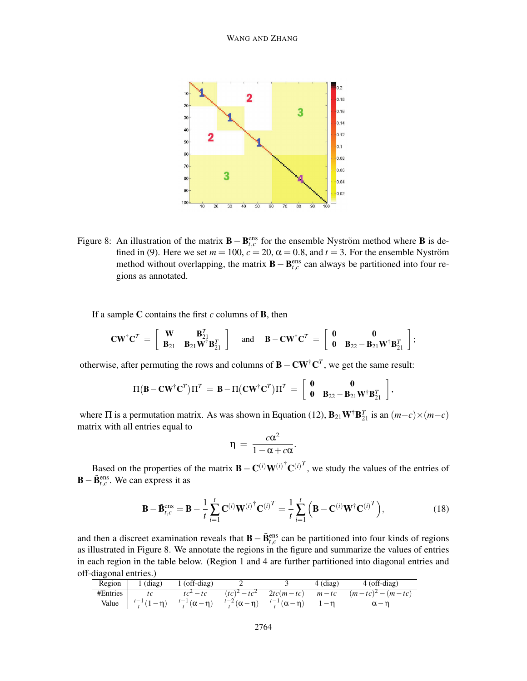

Figure 8: An illustration of the matrix **B** – **B**<sub>*t*,*c*</sub> for the ensemble Nyström method where **B** is defined in (9). Here we set  $m = 100$ ,  $c = 20$ ,  $\alpha = 0.8$ , and  $t = 3$ . For the ensemble Nyström method without overlapping, the matrix **B** – **B**<sub>*t*,*c*</sub> can always be partitioned into four regions as annotated.

If a sample  $C$  contains the first  $c$  columns of  $B$ , then

$$
\mathbf{CW}^\dagger \mathbf{C}^T \ = \ \left[ \begin{array}{cc} \mathbf{W} & \mathbf{B}_{21}^T \\ \mathbf{B}_{21} & \mathbf{B}_{21} \mathbf{W}^\dagger \mathbf{B}_{21}^T \end{array} \right] \quad \text{ and } \quad \mathbf{B} - \mathbf{CW}^\dagger \mathbf{C}^T \ = \ \left[ \begin{array}{cc} \mathbf{0} & \mathbf{0} \\ \mathbf{0} & \mathbf{B}_{22} - \mathbf{B}_{21} \mathbf{W}^\dagger \mathbf{B}_{21}^T \end{array} \right];
$$

otherwise, after permuting the rows and columns of  $\mathbf{B} - \mathbf{C} \mathbf{W}^{\dagger} \mathbf{C}^T$ , we get the same result:

$$
\Pi\big(B-\mathbf{C} \mathbf{W}^{\dagger} \mathbf{C}^T\big)\Pi^T \ =\ \mathbf{B}-\Pi\big(\mathbf{C} \mathbf{W}^{\dagger} \mathbf{C}^T\big)\Pi^T \ =\ \left[\begin{array}{cc} \mathbf{0} & \mathbf{0} \\ \mathbf{0} & \mathbf{B}_{22}-\mathbf{B}_{21}\mathbf{W}^{\dagger} \mathbf{B}_{21}^T \end{array}\right],
$$

where  $\Pi$  is a permutation matrix. As was shown in Equation (12),  $\mathbf{B}_{21}\mathbf{W}^{\dagger}\mathbf{B}_{21}^T$  is an  $(m-c)\times(m-c)$ matrix with all entries equal to

$$
\eta = \frac{c\alpha^2}{1-\alpha+c\alpha}.
$$

Based on the properties of the matrix  $\mathbf{B} - \mathbf{C}^{(i)} \mathbf{W}^{(i)^\dagger} \mathbf{C}^{(i)^T}$ , we study the values of the entries of  $\mathbf{B} - \tilde{\mathbf{B}}_{t,c}^{\text{ens}}$ . We can express it as

$$
\mathbf{B} - \tilde{\mathbf{B}}_{t,c}^{\text{ens}} = \mathbf{B} - \frac{1}{t} \sum_{i=1}^{t} \mathbf{C}^{(i)} \mathbf{W}^{(i)\dagger} \mathbf{C}^{(i)T} = \frac{1}{t} \sum_{i=1}^{t} \left( \mathbf{B} - \mathbf{C}^{(i)} \mathbf{W}^{\dagger} \mathbf{C}^{(i)T} \right),
$$
(18)

and then a discreet examination reveals that  $\mathbf{B} - \tilde{\mathbf{B}}_{t,c}^{\text{ens}}$  can be partitioned into four kinds of regions as illustrated in Figure 8. We annotate the regions in the figure and summarize the values of entries in each region in the table below. (Region 1 and 4 are further partitioned into diagonal entries and off-diagonal entries.)

| Region   | $1$ (diag)             | $1$ (off-diag) |                                                                                              | $4$ (diag) | $4$ (off-diag)                                       |
|----------|------------------------|----------------|----------------------------------------------------------------------------------------------|------------|------------------------------------------------------|
| #Entries |                        | $tc^2 - tc$    |                                                                                              |            | $(tc)^2 - tc^2$ 2tc(m-tc) $m-tc$ $(m-tc)^2 - (m-tc)$ |
| Value    | $\frac{t-1}{t-1}(1-n)$ |                | $\frac{t-1}{t}(\alpha - \eta)$ $\frac{t-2}{t}(\alpha - \eta)$ $\frac{t-1}{t}(\alpha - \eta)$ |            | $\alpha - n$                                         |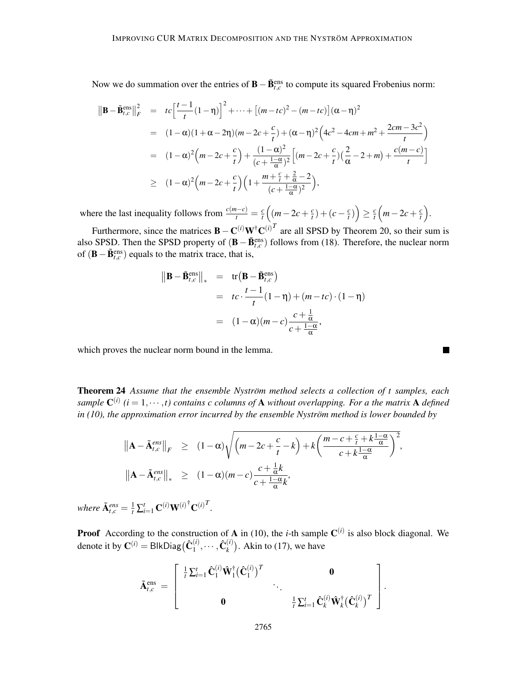Now we do summation over the entries of **B** –  $\tilde{\mathbf{B}}_{t,c}^{\text{ens}}$  to compute its squared Frobenius norm:

$$
\|\mathbf{B} - \tilde{\mathbf{B}}_{t,c}^{\text{ens}}\|_{F}^{2} = t c \Big[\frac{t-1}{t}(1-\eta)\Big]^{2} + \dots + \big[(m-tc)^{2} - (m-tc)\big](\alpha - \eta)^{2}
$$
\n
$$
= (1-\alpha)(1+\alpha-2\eta)(m-2c+\frac{c}{t}) + (\alpha - \eta)^{2}\Big(4c^{2} - 4cm + m^{2} + \frac{2cm - 3c^{2}}{t}\Big)
$$
\n
$$
= (1-\alpha)^{2}\Big(m-2c+\frac{c}{t}\Big) + \frac{(1-\alpha)^{2}}{(c+\frac{1-\alpha}{\alpha})^{2}}\Big[(m-2c+\frac{c}{t})(\frac{2}{\alpha}-2+m) + \frac{c(m-c)}{t}\Big]
$$
\n
$$
\geq (1-\alpha)^{2}\Big(m-2c+\frac{c}{t}\Big)\Big(1 + \frac{m+\frac{c}{t} + \frac{2}{\alpha}-2}{(c+\frac{1-\alpha}{\alpha})^{2}}\Big),
$$

where the last inequality follows from  $\frac{c(m-c)}{t} = \frac{c}{t}$  $\frac{c}{t}$  (*m*−2*c* +  $\frac{c}{t}$  $\frac{c}{t}$ ) + (*c* –  $\frac{c}{t}$  $\left(\frac{c}{t}\right)$  $\geq \frac{c}{t}$  $\frac{c}{t}$   $\left(m-2c+\frac{c}{t}\right)$  $\frac{c}{t}$ .

Furthermore, since the matrices  $\mathbf{B} - \mathbf{C}^{(i)} \mathbf{W}^{\dagger} \mathbf{C}^{(i)^{T}}$  are all SPSD by Theorem 20, so their sum is also SPSD. Then the SPSD property of  $(\mathbf{B} - \tilde{\mathbf{B}}_{t,c}^{\text{ens}})$  follows from (18). Therefore, the nuclear norm of  $(\mathbf{B} - \tilde{\mathbf{B}}_{t,c}^{\text{ens}})$  equals to the matrix trace, that is,

$$
\|\mathbf{B} - \tilde{\mathbf{B}}_{t,c}^{\text{ens}}\|_{*} = \text{tr}\left(\mathbf{B} - \tilde{\mathbf{B}}_{t,c}^{\text{ens}}\right)
$$
  
=  $tc \cdot \frac{t-1}{t} (1-\eta) + (m-tc) \cdot (1-\eta)$   
=  $(1-\alpha)(m-c) \frac{c+\frac{1}{\alpha}}{c+\frac{1-\alpha}{\alpha}},$ 

which proves the nuclear norm bound in the lemma.

**Theorem 24** Assume that the ensemble Nyström method selects a collection of t samples, each sample  $\mathbf{C}^{(i)}$  ( $i = 1, \dots, t$ ) contains c columns of **A** without overlapping. For a the matrix **A** defined *in (10), the approximation error incurred by the ensemble Nyström method is lower bounded by* 

$$
\|\mathbf{A} - \tilde{\mathbf{A}}_{t,c}^{ens}\|_{F} \geq (1 - \alpha) \sqrt{\left(m - 2c + \frac{c}{t} - k\right) + k \left(\frac{m - c + \frac{c}{t} + k \frac{1 - \alpha}{\alpha}}{c + k \frac{1 - \alpha}{\alpha}}\right)^{2}},
$$
  

$$
\|\mathbf{A} - \tilde{\mathbf{A}}_{t,c}^{ens}\|_{*} \geq (1 - \alpha)(m - c) \frac{c + \frac{1}{\alpha}k}{c + \frac{1 - \alpha}{\alpha}k},
$$

 $where \ \tilde{\mathbf{A}}_{t,c}^{ens} = \frac{1}{t} \sum_{i=1}^{t} \mathbf{C}^{(i)} \mathbf{W}^{(i)^\dagger} \mathbf{C}^{(i)T}$ .

**Proof** According to the construction of **A** in (10), the *i*-th sample  $C^{(i)}$  is also block diagonal. We denote it by  $\mathbf{C}^{(i)} = \mathsf{BlkDiag}(\hat{\mathbf{C}}_1^{(i)})$  $1^{(i)}, \cdots, \hat{\mathbf{C}}_{k}^{(i)}$  $\binom{i}{k}$ . Akin to (17), we have

$$
\tilde{\mathbf{A}}_{t,c}^{\text{ens}} = \left[ \begin{array}{ccc} \frac{1}{t} \sum_{i=1}^{t} \hat{\mathbf{C}}_{1}^{(i)} \hat{\mathbf{W}}_{1}^{\dagger} (\hat{\mathbf{C}}_{1}^{(i)})^{T} & \cdots \\ \mathbf{0} & \frac{1}{t} \sum_{i=1}^{t} \hat{\mathbf{C}}_{k}^{(i)} \hat{\mathbf{W}}_{k}^{\dagger} (\hat{\mathbf{C}}_{k}^{(i)})^{T} \end{array} \right]
$$

.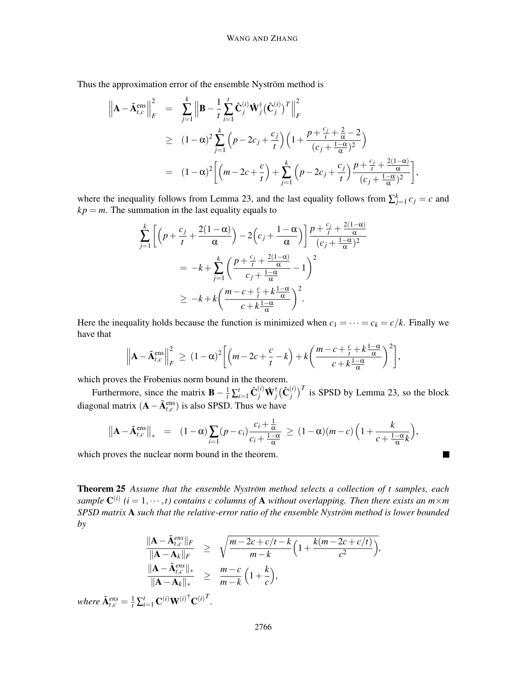Thus the approximation error of the ensemble Nyström method is

$$
\left\| A - \tilde{A}_{t,c}^{\text{ens}} \right\|_{F}^{2} = \sum_{j=1}^{k} \left\| B - \frac{1}{t} \sum_{i=1}^{t} \hat{C}_{j}^{(i)} \hat{W}_{j}^{\dagger} (\hat{C}_{j}^{(i)})^{T} \right\|_{F}^{2}
$$
  
\n
$$
\geq (1 - \alpha)^{2} \sum_{j=1}^{k} \left( p - 2c_{j} + \frac{c_{j}}{t} \right) \left( 1 + \frac{p + \frac{c_{j}}{t} + \frac{2}{\alpha} - 2}{(c_{j} + \frac{1 - \alpha}{\alpha})^{2}} \right)
$$
  
\n
$$
= (1 - \alpha)^{2} \left[ \left( m - 2c + \frac{c}{t} \right) + \sum_{j=1}^{k} \left( p - 2c_{j} + \frac{c_{j}}{t} \right) \frac{p + \frac{c_{j}}{t} + \frac{2(1 - \alpha)}{\alpha}}{(c_{j} + \frac{1 - \alpha}{\alpha})^{2}} \right],
$$

where the inequality follows from Lemma 23, and the last equality follows from  $\sum_{j=1}^{k} c_j = c$  and  $kp = m$ . The summation in the last equality equals to

$$
\sum_{j=1}^{k} \left[ \left( p + \frac{c_j}{t} + \frac{2(1-\alpha)}{\alpha} \right) - 2\left( c_j + \frac{1-\alpha}{\alpha} \right) \right] \frac{p + \frac{c_j}{t} + \frac{2(1-\alpha)}{\alpha}}{(c_j + \frac{1-\alpha}{\alpha})^2}
$$
\n
$$
= -k + \sum_{j=1}^{k} \left( \frac{p + \frac{c_j}{t} + \frac{2(1-\alpha)}{\alpha}}{c_j + \frac{1-\alpha}{\alpha}} - 1 \right)^2
$$
\n
$$
\geq -k + k \left( \frac{m - c + \frac{c}{t} + k \frac{1-\alpha}{\alpha}}{c + k \frac{1-\alpha}{\alpha}} \right)^2.
$$

Here the inequality holds because the function is minimized when  $c_1 = \cdots = c_k = c/k$ . Finally we have that

$$
\left\|\mathbf{A}-\tilde{\mathbf{A}}_{t,c}^{\text{ens}}\right\|_{F}^{2} \geq (1-\alpha)^{2}\bigg[\left(m-2c+\frac{c}{t}-k\right)+k\bigg(\frac{m-c+\frac{c}{t}+k\frac{1-\alpha}{\alpha}}{c+k\frac{1-\alpha}{\alpha}}\bigg)^{2}\bigg],
$$

which proves the Frobenius norm bound in the theorem.

Furthermore, since the matrix  $\mathbf{B} - \frac{1}{t} \sum_{i=1}^{t} \hat{\mathbf{C}}_j^{(i)} \hat{\mathbf{W}}_j^{\dagger}$  $_{j}^{\dagger}(\hat{\textbf{C}}_{j}^{(i)})$  $j^{(i)}$ <sup>T</sup> is SPSD by Lemma 23, so the block diagonal matrix  $(A - \tilde{A}^{ens}_{t,c})$  is also SPSD. Thus we have

$$
\|\mathbf{A}-\tilde{\mathbf{A}}_{t,c}^{\text{ens}}\|_{*} = (1-\alpha)\sum_{i=1}(p-c_{i})\frac{c_{i}+\frac{1}{\alpha}}{c_{i}+\frac{1-\alpha}{\alpha}} \geq (1-\alpha)(m-c)\left(1+\frac{k}{c+\frac{1-\alpha}{\alpha}k}\right),
$$

 $\blacksquare$ 

which proves the nuclear norm bound in the theorem.

Theorem 25 Assume that the ensemble Nyström method selects a collection of t samples, each sample  $\mathbf{C}^{(i)}$  ( $i = 1, \dots, t$ ) contains c columns of **A** without overlapping. Then there exists an  $m \times m$ *SPSD matrix* A *such that the relative-error ratio of the ensemble Nystrom method is lower bounded ¨ by*

$$
\frac{\|\mathbf{A} - \tilde{\mathbf{A}}_{t,c}^{ens}\|_{F}}{\|\mathbf{A} - \mathbf{A}_{k}\|_{F}} \geq \sqrt{\frac{m - 2c + c/t - k}{m - k} \left(1 + \frac{k(m - 2c + c/t)}{c^{2}}\right)},
$$
  

$$
\frac{\|\mathbf{A} - \tilde{\mathbf{A}}_{t,c}^{ens}\|_{*}}{\|\mathbf{A} - \mathbf{A}_{k}\|_{*}} \geq \frac{m - c}{m - k} \left(1 + \frac{k}{c}\right),
$$

*where*  $\tilde{\mathbf{A}}_{t,c}^{ens} = \frac{1}{t} \sum_{i=1}^{t} \mathbf{C}^{(i)} \mathbf{W}^{(i)}^{\dagger} \mathbf{C}^{(i)T}$ .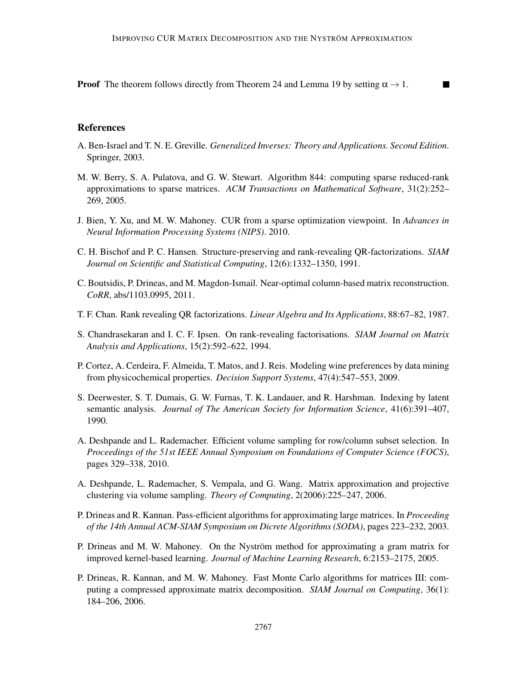**Proof** The theorem follows directly from Theorem 24 and Lemma 19 by setting  $\alpha \rightarrow 1$ .  $\blacksquare$ 

# References

- A. Ben-Israel and T. N. E. Greville. *Generalized Inverses: Theory and Applications. Second Edition*. Springer, 2003.
- M. W. Berry, S. A. Pulatova, and G. W. Stewart. Algorithm 844: computing sparse reduced-rank approximations to sparse matrices. *ACM Transactions on Mathematical Software*, 31(2):252– 269, 2005.
- J. Bien, Y. Xu, and M. W. Mahoney. CUR from a sparse optimization viewpoint. In *Advances in Neural Information Processing Systems (NIPS)*. 2010.
- C. H. Bischof and P. C. Hansen. Structure-preserving and rank-revealing QR-factorizations. *SIAM Journal on Scientific and Statistical Computing*, 12(6):1332–1350, 1991.
- C. Boutsidis, P. Drineas, and M. Magdon-Ismail. Near-optimal column-based matrix reconstruction. *CoRR*, abs/1103.0995, 2011.
- T. F. Chan. Rank revealing QR factorizations. *Linear Algebra and Its Applications*, 88:67–82, 1987.
- S. Chandrasekaran and I. C. F. Ipsen. On rank-revealing factorisations. *SIAM Journal on Matrix Analysis and Applications*, 15(2):592–622, 1994.
- P. Cortez, A. Cerdeira, F. Almeida, T. Matos, and J. Reis. Modeling wine preferences by data mining from physicochemical properties. *Decision Support Systems*, 47(4):547–553, 2009.
- S. Deerwester, S. T. Dumais, G. W. Furnas, T. K. Landauer, and R. Harshman. Indexing by latent semantic analysis. *Journal of The American Society for Information Science*, 41(6):391–407, 1990.
- A. Deshpande and L. Rademacher. Efficient volume sampling for row/column subset selection. In *Proceedings of the 51st IEEE Annual Symposium on Foundations of Computer Science (FOCS)*, pages 329–338, 2010.
- A. Deshpande, L. Rademacher, S. Vempala, and G. Wang. Matrix approximation and projective clustering via volume sampling. *Theory of Computing*, 2(2006):225–247, 2006.
- P. Drineas and R. Kannan. Pass-efficient algorithms for approximating large matrices. In *Proceeding of the 14th Annual ACM-SIAM Symposium on Dicrete Algorithms (SODA)*, pages 223–232, 2003.
- P. Drineas and M. W. Mahoney. On the Nyström method for approximating a gram matrix for improved kernel-based learning. *Journal of Machine Learning Research*, 6:2153–2175, 2005.
- P. Drineas, R. Kannan, and M. W. Mahoney. Fast Monte Carlo algorithms for matrices III: computing a compressed approximate matrix decomposition. *SIAM Journal on Computing*, 36(1): 184–206, 2006.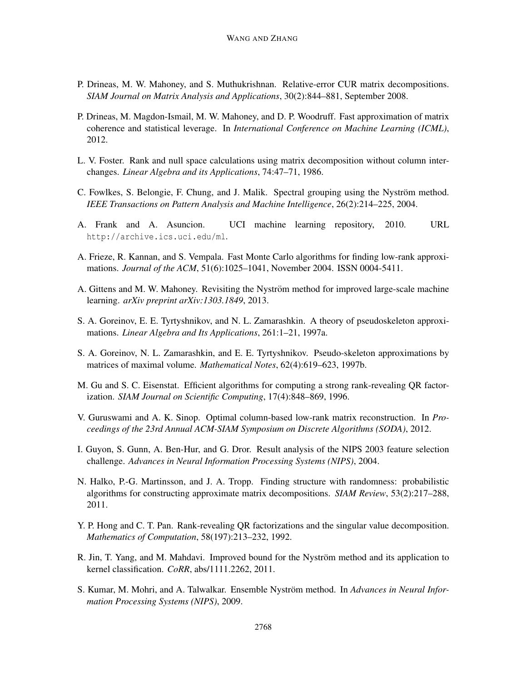- P. Drineas, M. W. Mahoney, and S. Muthukrishnan. Relative-error CUR matrix decompositions. *SIAM Journal on Matrix Analysis and Applications*, 30(2):844–881, September 2008.
- P. Drineas, M. Magdon-Ismail, M. W. Mahoney, and D. P. Woodruff. Fast approximation of matrix coherence and statistical leverage. In *International Conference on Machine Learning (ICML)*, 2012.
- L. V. Foster. Rank and null space calculations using matrix decomposition without column interchanges. *Linear Algebra and its Applications*, 74:47–71, 1986.
- C. Fowlkes, S. Belongie, F. Chung, and J. Malik. Spectral grouping using the Nyström method. *IEEE Transactions on Pattern Analysis and Machine Intelligence*, 26(2):214–225, 2004.
- A. Frank and A. Asuncion. UCI machine learning repository, 2010. URL http://archive.ics.uci.edu/ml.
- A. Frieze, R. Kannan, and S. Vempala. Fast Monte Carlo algorithms for finding low-rank approximations. *Journal of the ACM*, 51(6):1025–1041, November 2004. ISSN 0004-5411.
- A. Gittens and M. W. Mahoney. Revisiting the Nyström method for improved large-scale machine learning. *arXiv preprint arXiv:1303.1849*, 2013.
- S. A. Goreinov, E. E. Tyrtyshnikov, and N. L. Zamarashkin. A theory of pseudoskeleton approximations. *Linear Algebra and Its Applications*, 261:1–21, 1997a.
- S. A. Goreinov, N. L. Zamarashkin, and E. E. Tyrtyshnikov. Pseudo-skeleton approximations by matrices of maximal volume. *Mathematical Notes*, 62(4):619–623, 1997b.
- M. Gu and S. C. Eisenstat. Efficient algorithms for computing a strong rank-revealing QR factorization. *SIAM Journal on Scientific Computing*, 17(4):848–869, 1996.
- V. Guruswami and A. K. Sinop. Optimal column-based low-rank matrix reconstruction. In *Proceedings of the 23rd Annual ACM-SIAM Symposium on Discrete Algorithms (SODA)*, 2012.
- I. Guyon, S. Gunn, A. Ben-Hur, and G. Dror. Result analysis of the NIPS 2003 feature selection challenge. *Advances in Neural Information Processing Systems (NIPS)*, 2004.
- N. Halko, P.-G. Martinsson, and J. A. Tropp. Finding structure with randomness: probabilistic algorithms for constructing approximate matrix decompositions. *SIAM Review*, 53(2):217–288, 2011.
- Y. P. Hong and C. T. Pan. Rank-revealing QR factorizations and the singular value decomposition. *Mathematics of Computation*, 58(197):213–232, 1992.
- R. Jin, T. Yang, and M. Mahdavi. Improved bound for the Nyström method and its application to kernel classification. *CoRR*, abs/1111.2262, 2011.
- S. Kumar, M. Mohri, and A. Talwalkar. Ensemble Nyström method. In *Advances in Neural Information Processing Systems (NIPS)*, 2009.